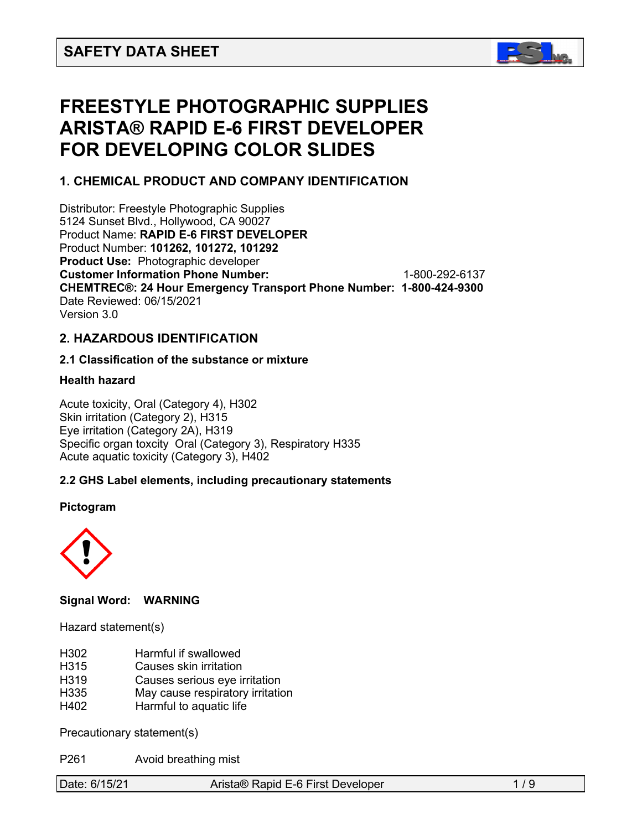

# **FREESTYLE PHOTOGRAPHIC SUPPLIES ARISTA® RAPID E-6 FIRST DEVELOPER FOR DEVELOPING COLOR SLIDES**

# **1. CHEMICAL PRODUCT AND COMPANY IDENTIFICATION**

Distributor: Freestyle Photographic Supplies 5124 Sunset Blvd., Hollywood, CA 90027 Product Name: **RAPID E-6 FIRST DEVELOPER**  Product Number: **101262, 101272, 101292 Product Use:** Photographic developer **Customer Information Phone Number:** 1-800-292-6137 **CHEMTREC®: 24 Hour Emergency Transport Phone Number: 1-800-424-9300**  Date Reviewed: 06/15/2021 Version 3.0

# **2. HAZARDOUS IDENTIFICATION**

# **2.1 Classification of the substance or mixture**

#### **Health hazard**

Acute toxicity, Oral (Category 4), H302 Skin irritation (Category 2), H315 Eye irritation (Category 2A), H319 Specific organ toxcity Oral (Category 3), Respiratory H335 Acute aquatic toxicity (Category 3), H402

# **2.2 GHS Label elements, including precautionary statements**

#### **Pictogram**



#### **Signal Word: WARNING**

Hazard statement(s)

- H302 Harmful if swallowed
- H315 Causes skin irritation
- H319 Causes serious eye irritation
- H335 May cause respiratory irritation
- H402 Harmful to aquatic life

Precautionary statement(s)

P261 Avoid breathing mist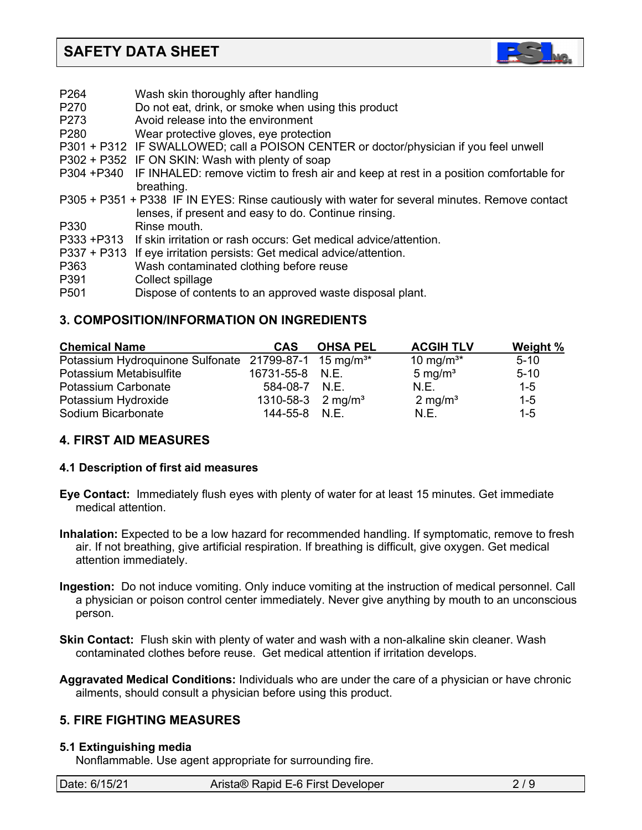

| P264             | Wash skin thoroughly after handling                                                              |
|------------------|--------------------------------------------------------------------------------------------------|
| P270             | Do not eat, drink, or smoke when using this product                                              |
| P273             | Avoid release into the environment                                                               |
| P <sub>280</sub> | Wear protective gloves, eye protection                                                           |
|                  | P301 + P312 IF SWALLOWED; call a POISON CENTER or doctor/physician if you feel unwell            |
|                  | P302 + P352 IF ON SKIN: Wash with plenty of soap                                                 |
|                  | P304 +P340 IF INHALED: remove victim to fresh air and keep at rest in a position comfortable for |
|                  | breathing.                                                                                       |
|                  | P305 + P351 + P338 IF IN EYES: Rinse cautiously with water for several minutes. Remove contact   |
|                  | lenses, if present and easy to do. Continue rinsing.                                             |
| P330             | Rinse mouth.                                                                                     |
|                  | P333 +P313 If skin irritation or rash occurs: Get medical advice/attention.                      |
|                  | P337 + P313 If eye irritation persists: Get medical advice/attention.                            |
| P363             | Wash contaminated clothing before reuse                                                          |
| P391             | Collect spillage                                                                                 |
| P <sub>501</sub> | Dispose of contents to an approved waste disposal plant.                                         |
|                  |                                                                                                  |

# **3. COMPOSITION/INFORMATION ON INGREDIENTS**

| <b>Chemical Name</b>                                              | <b>CAS</b>                   | <b>OHSA PEL</b> | <b>ACGIH TLV</b>      | <b>Weight %</b> |
|-------------------------------------------------------------------|------------------------------|-----------------|-----------------------|-----------------|
| Potassium Hydroquinone Sulfonate 21799-87-1 15 mg/m <sup>3*</sup> |                              |                 | 10 mg/m <sup>3*</sup> | $5 - 10$        |
| Potassium Metabisulfite                                           | 16731-55-8 N.E.              |                 | $5 \text{ mg/m}^3$    | $5 - 10$        |
| Potassium Carbonate                                               | 584-08-7 N.E.                |                 | N.E.                  | $1 - 5$         |
| Potassium Hydroxide                                               | 1310-58-3 $2 \text{ mg/m}^3$ |                 | $2 \text{ mg/m}^3$    | $1 - 5$         |
| Sodium Bicarbonate                                                | 144-55-8 N.E.                |                 | N.E.                  | $1 - 5$         |

# **4. FIRST AID MEASURES**

# **4.1 Description of first aid measures**

- **Eye Contact:** Immediately flush eyes with plenty of water for at least 15 minutes. Get immediate medical attention.
- **Inhalation:** Expected to be a low hazard for recommended handling. If symptomatic, remove to fresh air. If not breathing, give artificial respiration. If breathing is difficult, give oxygen. Get medical attention immediately.
- **Ingestion:** Do not induce vomiting. Only induce vomiting at the instruction of medical personnel. Call a physician or poison control center immediately. Never give anything by mouth to an unconscious person.
- **Skin Contact:** Flush skin with plenty of water and wash with a non-alkaline skin cleaner. Wash contaminated clothes before reuse. Get medical attention if irritation develops.
- **Aggravated Medical Conditions:** Individuals who are under the care of a physician or have chronic ailments, should consult a physician before using this product.

# **5. FIRE FIGHTING MEASURES**

# **5.1 Extinguishing media**

Nonflammable. Use agent appropriate for surrounding fire.

| Date: 6/15/21<br>Arista® Rapid E-6 First Developer |  |
|----------------------------------------------------|--|
|----------------------------------------------------|--|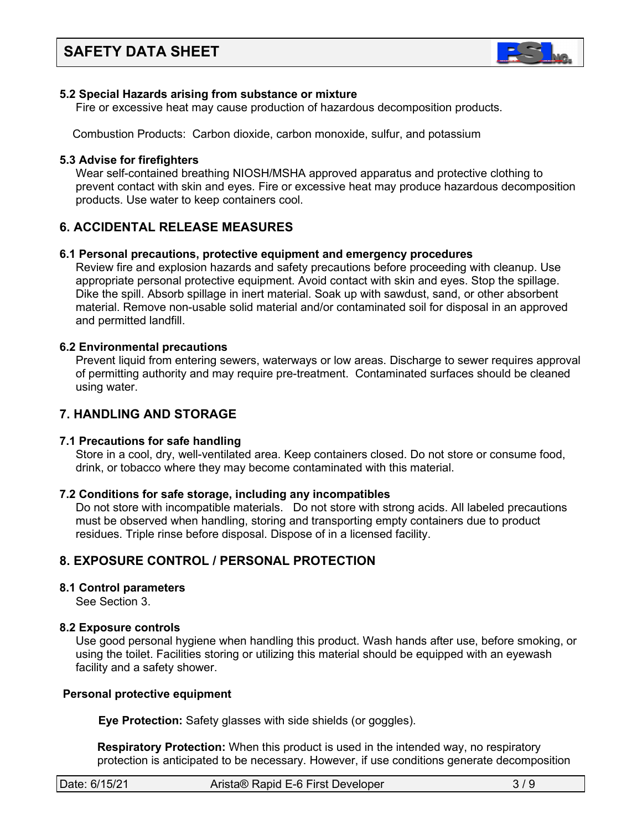

#### **5.2 Special Hazards arising from substance or mixture**

Fire or excessive heat may cause production of hazardous decomposition products.

Combustion Products: Carbon dioxide, carbon monoxide, sulfur, and potassium

#### **5.3 Advise for firefighters**

Wear self-contained breathing NIOSH/MSHA approved apparatus and protective clothing to prevent contact with skin and eyes. Fire or excessive heat may produce hazardous decomposition products. Use water to keep containers cool.

# **6. ACCIDENTAL RELEASE MEASURES**

#### **6.1 Personal precautions, protective equipment and emergency procedures**

Review fire and explosion hazards and safety precautions before proceeding with cleanup. Use appropriate personal protective equipment. Avoid contact with skin and eyes. Stop the spillage. Dike the spill. Absorb spillage in inert material. Soak up with sawdust, sand, or other absorbent material. Remove non-usable solid material and/or contaminated soil for disposal in an approved and permitted landfill.

#### **6.2 Environmental precautions**

 Prevent liquid from entering sewers, waterways or low areas. Discharge to sewer requires approval of permitting authority and may require pre-treatment. Contaminated surfaces should be cleaned using water.

# **7. HANDLING AND STORAGE**

# **7.1 Precautions for safe handling**

 Store in a cool, dry, well-ventilated area. Keep containers closed. Do not store or consume food, drink, or tobacco where they may become contaminated with this material.

#### **7.2 Conditions for safe storage, including any incompatibles**

Do not store with incompatible materials. Do not store with strong acids. All labeled precautions must be observed when handling, storing and transporting empty containers due to product residues. Triple rinse before disposal. Dispose of in a licensed facility.

# **8. EXPOSURE CONTROL / PERSONAL PROTECTION**

# **8.1 Control parameters**

See Section 3.

# **8.2 Exposure controls**

Use good personal hygiene when handling this product. Wash hands after use, before smoking, or using the toilet. Facilities storing or utilizing this material should be equipped with an eyewash facility and a safety shower.

#### **Personal protective equipment**

**Eye Protection:** Safety glasses with side shields (or goggles).

**Respiratory Protection:** When this product is used in the intended way, no respiratory protection is anticipated to be necessary. However, if use conditions generate decomposition

| Date: 6/15/21 | Arista® Rapid E-6 First Developer |  |
|---------------|-----------------------------------|--|
|               |                                   |  |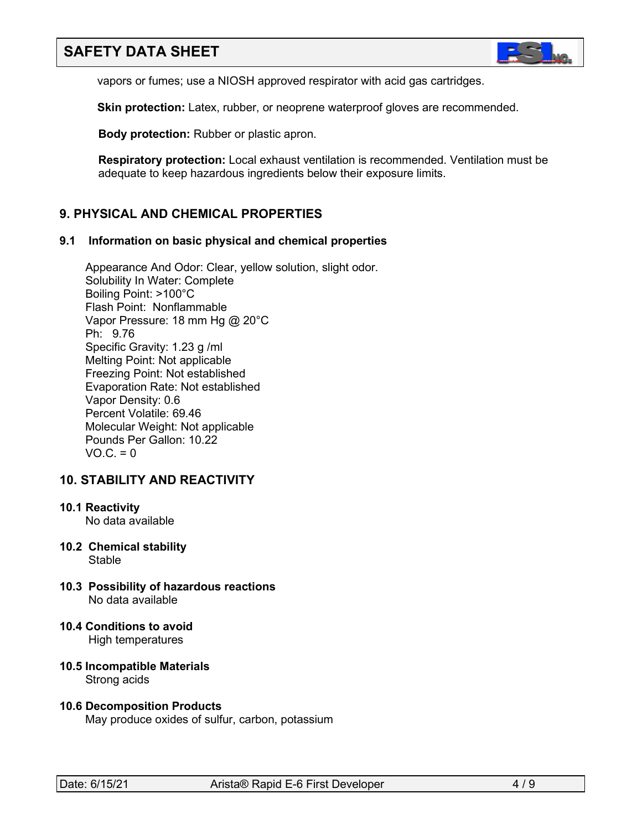

vapors or fumes; use a NIOSH approved respirator with acid gas cartridges.

**Skin protection:** Latex, rubber, or neoprene waterproof gloves are recommended.

 **Body protection:** Rubber or plastic apron.

 **Respiratory protection:** Local exhaust ventilation is recommended. Ventilation must be adequate to keep hazardous ingredients below their exposure limits.

# **9. PHYSICAL AND CHEMICAL PROPERTIES**

#### **9.1 Information on basic physical and chemical properties**

Appearance And Odor: Clear, yellow solution, slight odor. Solubility In Water: Complete Boiling Point: >100°C Flash Point: Nonflammable Vapor Pressure: 18 mm Hg @ 20°C Ph: 9.76 Specific Gravity: 1.23 g /ml Melting Point: Not applicable Freezing Point: Not established Evaporation Rate: Not established Vapor Density: 0.6 Percent Volatile: 69.46 Molecular Weight: Not applicable Pounds Per Gallon: 10.22  $VO.C. = 0$ 

# **10. STABILITY AND REACTIVITY**

#### **10.1 Reactivity**

No data available

- **10.2 Chemical stability** Stable
- **10.3 Possibility of hazardous reactions** No data available
- **10.4 Conditions to avoid** High temperatures
- **10.5 Incompatible Materials** Strong acids
- **10.6 Decomposition Products** May produce oxides of sulfur, carbon, potassium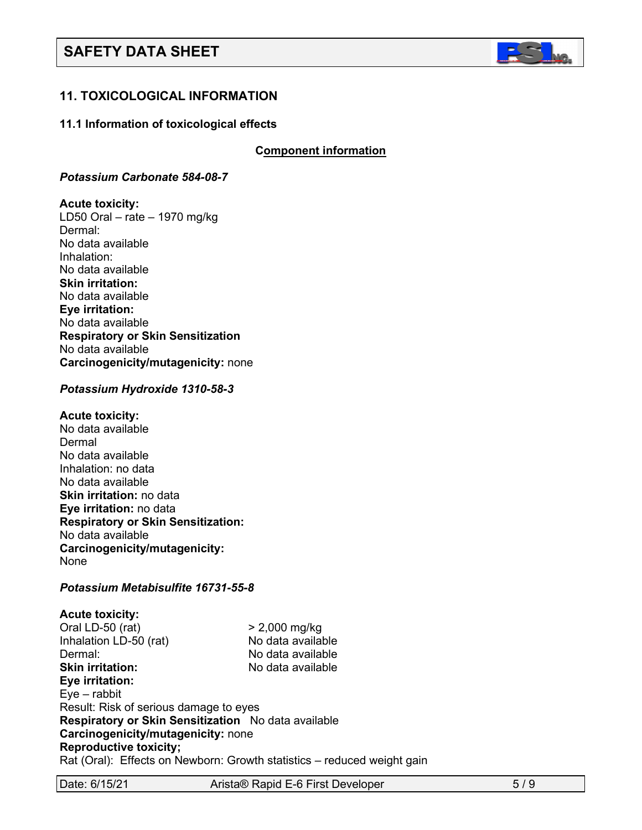

# **11. TOXICOLOGICAL INFORMATION**

#### **11.1 Information of toxicological effects**

**C**C**omponent information**

#### *Potassium Carbonate 584-08-7*

#### **Acute toxicity:**

LD50 Oral – rate – 1970 mg/kg Dermal: No data available Inhalation: No data available **Skin irritation:**  No data available **Eye irritation:**  No data available **Respiratory or Skin Sensitization** No data available **Carcinogenicity/mutagenicity:** none

#### *Potassium Hydroxide 1310-58-3*

#### **Acute toxicity:**

No data available Dermal No data available Inhalation: no data No data available **Skin irritation:** no data **Eye irritation:** no data **Respiratory or Skin Sensitization:** No data available **Carcinogenicity/mutagenicity:** None

#### *Potassium Metabisulfite 16731-55-8*

**Acute toxicity:** Oral LD-50 (rat) > 2,000 mg/kg Inhalation LD-50 (rat) No data available Dermal: No data available **Skin irritation:** No data available **Eye irritation:**  Eye – rabbit Result: Risk of serious damage to eyes **Respiratory or Skin Sensitization** No data available **Carcinogenicity/mutagenicity:** none **Reproductive toxicity;** Rat (Oral): Effects on Newborn: Growth statistics – reduced weight gain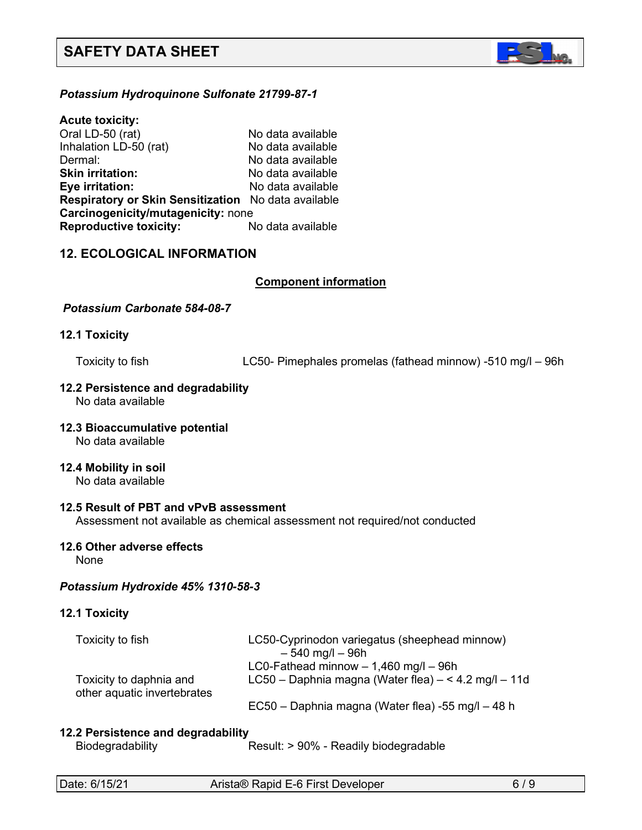

# *Potassium Hydroquinone Sulfonate 21799-87-1*

**Acute toxicity:** Oral LD-50 (rat) No data available Inhalation LD-50 (rat) No data available Dermal: No data available **Skin irritation:** No data available **Eye irritation:** No data available **Respiratory or Skin Sensitization** No data available **Carcinogenicity/mutagenicity:** none **Reproductive toxicity:** No data available

# **12. ECOLOGICAL INFORMATION**

#### **Component information**

#### *Potassium Carbonate 584-08-7*

#### **12.1 Toxicity**

Toxicity to fish LC50- Pimephales promelas (fathead minnow) -510 mg/l – 96h

# **12.2 Persistence and degradability**

No data available

#### **12.3 Bioaccumulative potential** No data available

#### **12.4 Mobility in soil**

No data available

# **12.5 Result of PBT and vPvB assessment**

Assessment not available as chemical assessment not required/not conducted

#### **12.6 Other adverse effects**

None

#### *Potassium Hydroxide 45% 1310-58-3*

# **12.1 Toxicity**

| Toxicity to fish                                       | LC50-Cyprinodon variegatus (sheephead minnow)                 |
|--------------------------------------------------------|---------------------------------------------------------------|
|                                                        | $-540$ mg/l $-96h$<br>LC0-Fathead minnow $-1,460$ mg/l $-96h$ |
| Toxicity to daphnia and<br>other aquatic invertebrates | LC50 – Daphnia magna (Water flea) – < 4.2 mg/l – 11d          |
|                                                        | EC50 – Daphnia magna (Water flea) -55 mg/l – 48 h             |

#### **12.2 Persistence and degradability**

Biodegradability Result: > 90% - Readily biodegradable

| Date: 6/15/21 | Arista <sup>®</sup> Rap |
|---------------|-------------------------|
|---------------|-------------------------|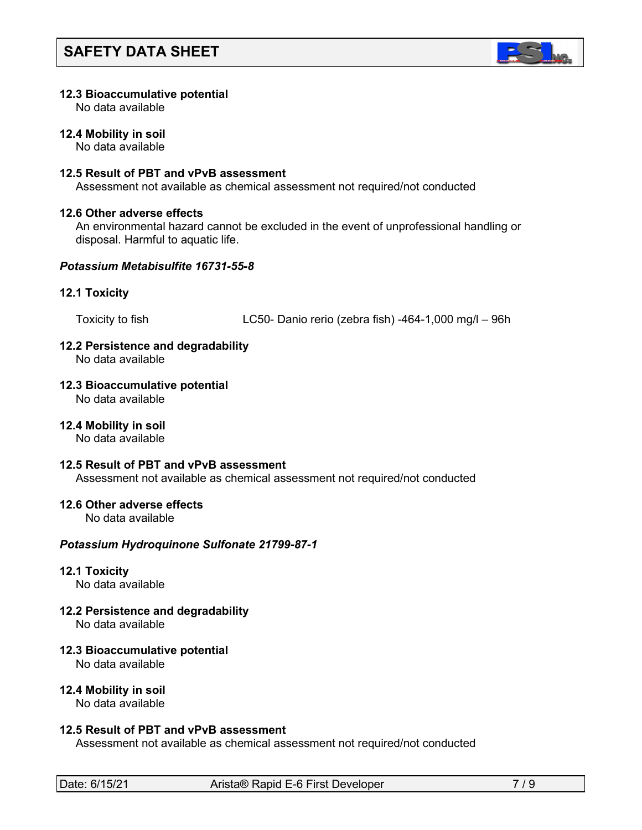

#### **12.3 Bioaccumulative potential**

No data available

#### **12.4 Mobility in soil**

No data available

### **12.5 Result of PBT and vPvB assessment**

Assessment not available as chemical assessment not required/not conducted

#### **12.6 Other adverse effects**

An environmental hazard cannot be excluded in the event of unprofessional handling or disposal. Harmful to aquatic life.

#### *Potassium Metabisulfite 16731-55-8*

#### **12.1 Toxicity**

Toxicity to fish LC50- Danio rerio (zebra fish) -464-1,000 mg/l – 96h

# **12.2 Persistence and degradability**

No data available

#### **12.3 Bioaccumulative potential**

No data available

#### **12.4 Mobility in soil**

No data available

#### **12.5 Result of PBT and vPvB assessment**

Assessment not available as chemical assessment not required/not conducted

#### **12.6 Other adverse effects**

No data available

# *Potassium Hydroquinone Sulfonate 21799-87-1*

# **12.1 Toxicity**

No data available

# **12.2 Persistence and degradability**

No data available

# **12.3 Bioaccumulative potential**

No data available

#### **12.4 Mobility in soil**

No data available

#### **12.5 Result of PBT and vPvB assessment**

Assessment not available as chemical assessment not required/not conducted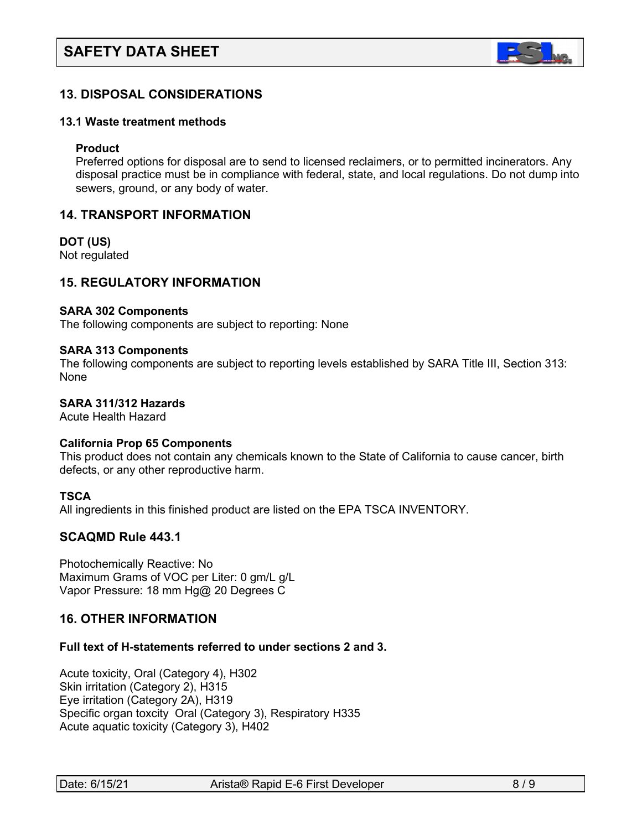

# **13. DISPOSAL CONSIDERATIONS**

#### **13.1 Waste treatment methods**

#### **Product**

Preferred options for disposal are to send to licensed reclaimers, or to permitted incinerators. Any disposal practice must be in compliance with federal, state, and local regulations. Do not dump into sewers, ground, or any body of water.

# **14. TRANSPORT INFORMATION**

**DOT (US)** Not regulated

# **15. REGULATORY INFORMATION**

#### **SARA 302 Components**

The following components are subject to reporting: None

#### **SARA 313 Components**

The following components are subject to reporting levels established by SARA Title III, Section 313: None

#### **SARA 311/312 Hazards**

Acute Health Hazard

#### **California Prop 65 Components**

This product does not contain any chemicals known to the State of California to cause cancer, birth defects, or any other reproductive harm.

#### **TSCA**

All ingredients in this finished product are listed on the EPA TSCA INVENTORY.

#### **SCAQMD Rule 443.1**

Photochemically Reactive: No Maximum Grams of VOC per Liter: 0 gm/L g/L Vapor Pressure: 18 mm Hg@ 20 Degrees C

# **16. OTHER INFORMATION**

#### **Full text of H-statements referred to under sections 2 and 3.**

Acute toxicity, Oral (Category 4), H302 Skin irritation (Category 2), H315 Eye irritation (Category 2A), H319 Specific organ toxcity Oral (Category 3), Respiratory H335 Acute aquatic toxicity (Category 3), H402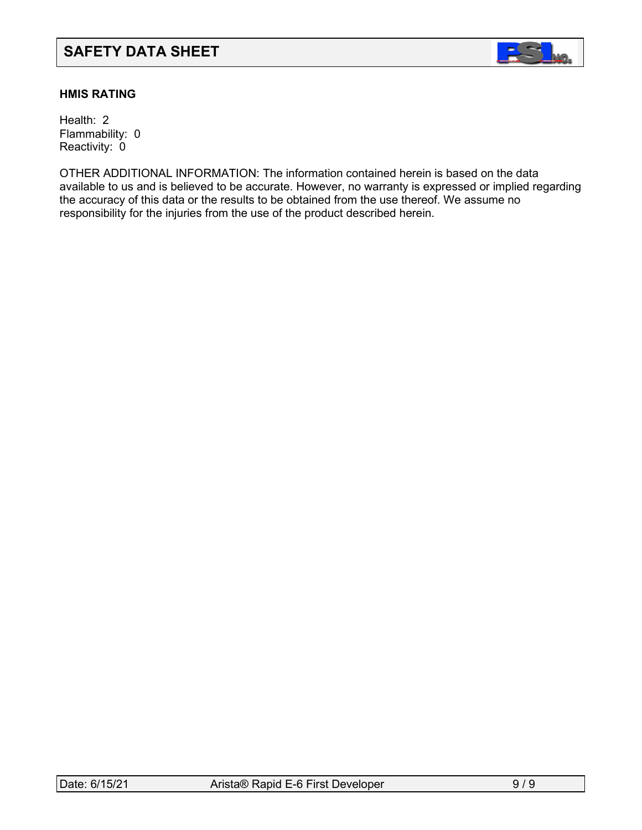

# **HMIS RATING**

Health: 2 Flammability: 0 Reactivity: 0

OTHER ADDITIONAL INFORMATION: The information contained herein is based on the data available to us and is believed to be accurate. However, no warranty is expressed or implied regarding the accuracy of this data or the results to be obtained from the use thereof. We assume no responsibility for the injuries from the use of the product described herein.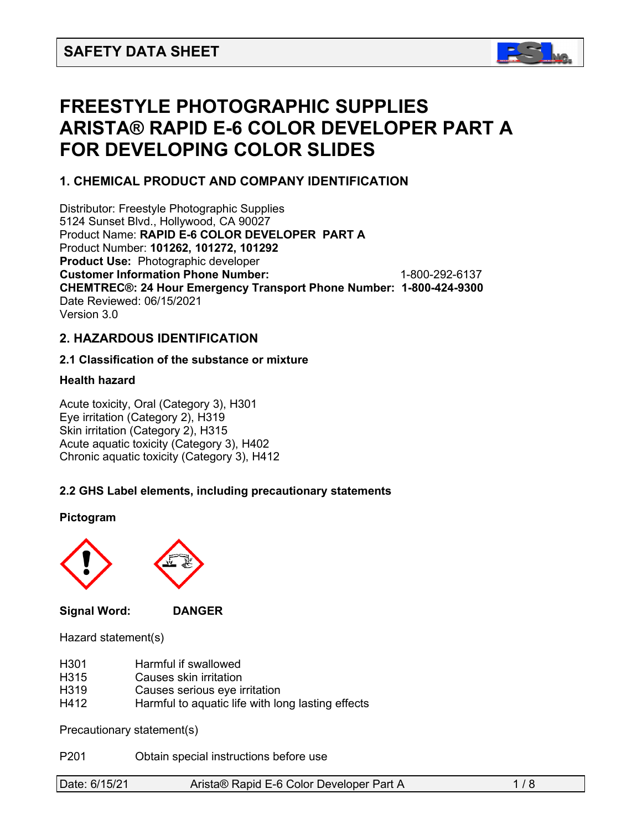

# **FREESTYLE PHOTOGRAPHIC SUPPLIES ARISTA® RAPID E-6 COLOR DEVELOPER PART A FOR DEVELOPING COLOR SLIDES**

# **1. CHEMICAL PRODUCT AND COMPANY IDENTIFICATION**

Distributor: Freestyle Photographic Supplies 5124 Sunset Blvd., Hollywood, CA 90027 Product Name: **RAPID E-6 COLOR DEVELOPER PART A** Product Number: **101262, 101272, 101292 Product Use:** Photographic developer **Customer Information Phone Number:** 1-800-292-6137 **CHEMTREC®: 24 Hour Emergency Transport Phone Number: 1-800-424-9300**  Date Reviewed: 06/15/2021 Version 3.0

# **2. HAZARDOUS IDENTIFICATION**

# **2.1 Classification of the substance or mixture**

# **Health hazard**

Acute toxicity, Oral (Category 3), H301 Eye irritation (Category 2), H319 Skin irritation (Category 2), H315 Acute aquatic toxicity (Category 3), H402 Chronic aquatic toxicity (Category 3), H412

# **2.2 GHS Label elements, including precautionary statements**

**Pictogram**



**Signal Word: DANGER**



Hazard statement(s)

- H301 Harmful if swallowed
- H315 Causes skin irritation
- H319 Causes serious eye irritation
- H412 Harmful to aquatic life with long lasting effects

Precautionary statement(s)

P201 Obtain special instructions before use

|  | Date: 6/15/21 | Arista® Rapid E-6 Color Developer Part A |  |
|--|---------------|------------------------------------------|--|
|--|---------------|------------------------------------------|--|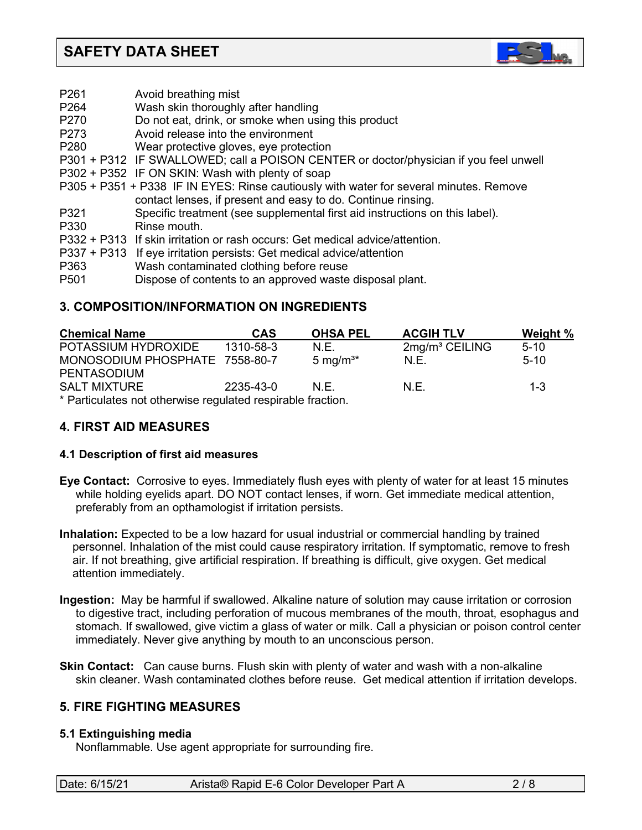

- P261 Avoid breathing mist
- P264 Wash skin thoroughly after handling
- P270 Do not eat, drink, or smoke when using this product
- P273 Avoid release into the environment
- P280 Wear protective gloves, eye protection
- P301 + P312 IF SWALLOWED; call a POISON CENTER or doctor/physician if you feel unwell
- P302 + P352 IF ON SKIN: Wash with plenty of soap
- P305 + P351 + P338 IF IN EYES: Rinse cautiously with water for several minutes. Remove contact lenses, if present and easy to do. Continue rinsing.
- P321 Specific treatment (see supplemental first aid instructions on this label).
- Rinse mouth.
- P332 + P313 If skin irritation or rash occurs: Get medical advice/attention.
- P337 + P313 If eye irritation persists: Get medical advice/attention
- P363 Wash contaminated clothing before reuse
- P501 Dispose of contents to an approved waste disposal plant.

# **3. COMPOSITION/INFORMATION ON INGREDIENTS**

| <b>Chemical Name</b>                                       | <b>CAS</b> | <b>OHSA PEL</b>      | <b>ACGIH TLV</b> | Weight % |
|------------------------------------------------------------|------------|----------------------|------------------|----------|
| POTASSIUM HYDROXIDE                                        | 1310-58-3  | N.E.                 | $2mg/m3$ CEILING | $5-10$   |
| MONOSODIUM PHOSPHATE 7558-80-7                             |            | 5 mg/m <sup>3*</sup> | N.E.             | $5-10$   |
| <b>PENTASODIUM</b>                                         |            |                      |                  |          |
| <b>SALT MIXTURE</b>                                        | 2235-43-0  | N F                  | N.E.             | $1 - 3$  |
| * Particulates not otherwise requieted respirable fraction |            |                      |                  |          |

Particulates not otherwise regulated respirable fraction.

# **4. FIRST AID MEASURES**

# **4.1 Description of first aid measures**

- **Eye Contact:** Corrosive to eyes. Immediately flush eyes with plenty of water for at least 15 minutes while holding eyelids apart. DO NOT contact lenses, if worn. Get immediate medical attention, preferably from an opthamologist if irritation persists.
- **Inhalation:** Expected to be a low hazard for usual industrial or commercial handling by trained personnel. Inhalation of the mist could cause respiratory irritation. If symptomatic, remove to fresh air. If not breathing, give artificial respiration. If breathing is difficult, give oxygen. Get medical attention immediately.
- **Ingestion:** May be harmful if swallowed. Alkaline nature of solution may cause irritation or corrosion to digestive tract, including perforation of mucous membranes of the mouth, throat, esophagus and stomach. If swallowed, give victim a glass of water or milk. Call a physician or poison control center immediately. Never give anything by mouth to an unconscious person.
- **Skin Contact:** Can cause burns. Flush skin with plenty of water and wash with a non-alkaline skin cleaner. Wash contaminated clothes before reuse. Get medical attention if irritation develops.

# **5. FIRE FIGHTING MEASURES**

#### **5.1 Extinguishing media**

Nonflammable. Use agent appropriate for surrounding fire.

| Date: 6/15/21 | Arista® Rapid E-6 Color Developer Part A | 2/8 |
|---------------|------------------------------------------|-----|
|---------------|------------------------------------------|-----|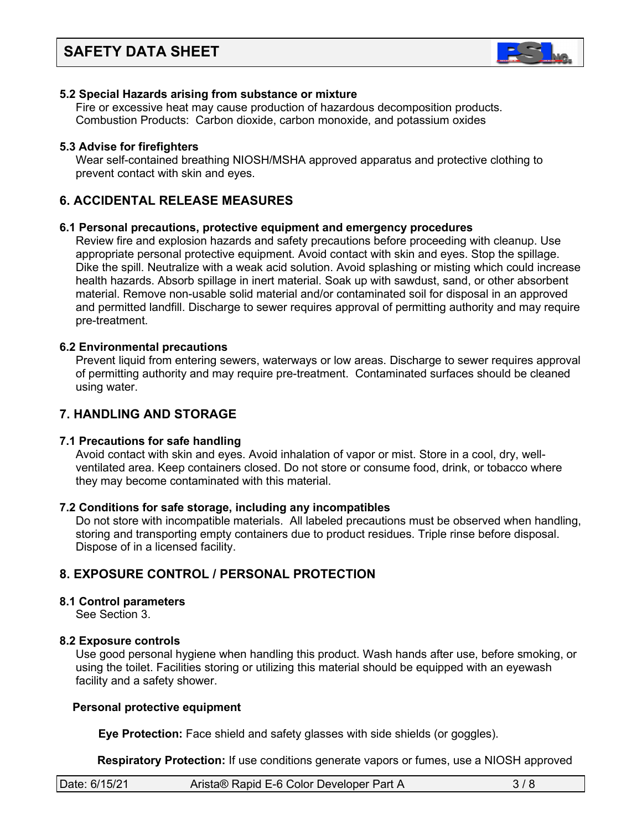

#### **5.2 Special Hazards arising from substance or mixture**

 Fire or excessive heat may cause production of hazardous decomposition products. Combustion Products: Carbon dioxide, carbon monoxide, and potassium oxides

#### **5.3 Advise for firefighters**

Wear self-contained breathing NIOSH/MSHA approved apparatus and protective clothing to prevent contact with skin and eyes.

# **6. ACCIDENTAL RELEASE MEASURES**

#### **6.1 Personal precautions, protective equipment and emergency procedures**

Review fire and explosion hazards and safety precautions before proceeding with cleanup. Use appropriate personal protective equipment. Avoid contact with skin and eyes. Stop the spillage. Dike the spill. Neutralize with a weak acid solution. Avoid splashing or misting which could increase health hazards. Absorb spillage in inert material. Soak up with sawdust, sand, or other absorbent material. Remove non-usable solid material and/or contaminated soil for disposal in an approved and permitted landfill. Discharge to sewer requires approval of permitting authority and may require pre-treatment.

#### **6.2 Environmental precautions**

 Prevent liquid from entering sewers, waterways or low areas. Discharge to sewer requires approval of permitting authority and may require pre-treatment. Contaminated surfaces should be cleaned using water.

# **7. HANDLING AND STORAGE**

# **7.1 Precautions for safe handling**

 Avoid contact with skin and eyes. Avoid inhalation of vapor or mist. Store in a cool, dry, well ventilated area. Keep containers closed. Do not store or consume food, drink, or tobacco where they may become contaminated with this material.

#### **7.2 Conditions for safe storage, including any incompatibles**

Do not store with incompatible materials. All labeled precautions must be observed when handling, storing and transporting empty containers due to product residues. Triple rinse before disposal. Dispose of in a licensed facility.

# **8. EXPOSURE CONTROL / PERSONAL PROTECTION**

#### **8.1 Control parameters**

See Section 3.

#### **8.2 Exposure controls**

Use good personal hygiene when handling this product. Wash hands after use, before smoking, or using the toilet. Facilities storing or utilizing this material should be equipped with an eyewash facility and a safety shower.

#### **Personal protective equipment**

**Eye Protection:** Face shield and safety glasses with side shields (or goggles).

**Respiratory Protection:** If use conditions generate vapors or fumes, use a NIOSH approved

| Date: 6/15/21 | Arista® Rapid E-6 Color Developer Part A |  |
|---------------|------------------------------------------|--|
|               |                                          |  |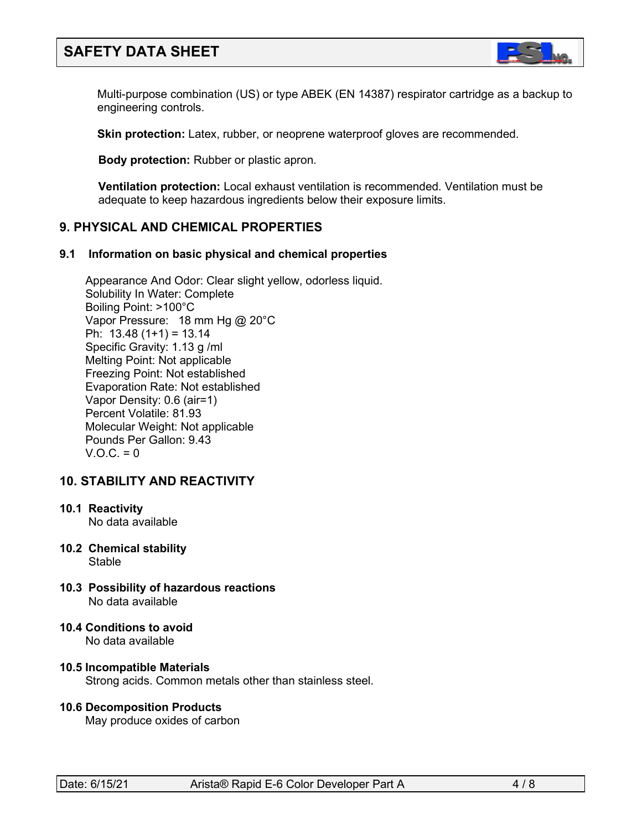

Multi-purpose combination (US) or type ABEK (EN 14387) respirator cartridge as a backup to engineering controls.

**Skin protection:** Latex, rubber, or neoprene waterproof gloves are recommended.

 **Body protection:** Rubber or plastic apron.

 **Ventilation protection:** Local exhaust ventilation is recommended. Ventilation must be adequate to keep hazardous ingredients below their exposure limits.

# **9. PHYSICAL AND CHEMICAL PROPERTIES**

#### **9.1 Information on basic physical and chemical properties**

Appearance And Odor: Clear slight yellow, odorless liquid. Solubility In Water: Complete Boiling Point: >100°C Vapor Pressure: 18 mm Hg @ 20°C Ph:  $13.48(1+1) = 13.14$  Specific Gravity: 1.13 g /ml Melting Point: Not applicable Freezing Point: Not established Evaporation Rate: Not established Vapor Density: 0.6 (air=1) Percent Volatile: 81.93 Molecular Weight: Not applicable Pounds Per Gallon: 9.43  $V.O.C. = 0$ 

# **10. STABILITY AND REACTIVITY**

#### **10.1 Reactivity**

No data available

- **10.2 Chemical stability** Stable
- **10.3 Possibility of hazardous reactions** No data available
- **10.4 Conditions to avoid** No data available

#### **10.5 Incompatible Materials** Strong acids. Common metals other than stainless steel.

#### **10.6 Decomposition Products**

May produce oxides of carbon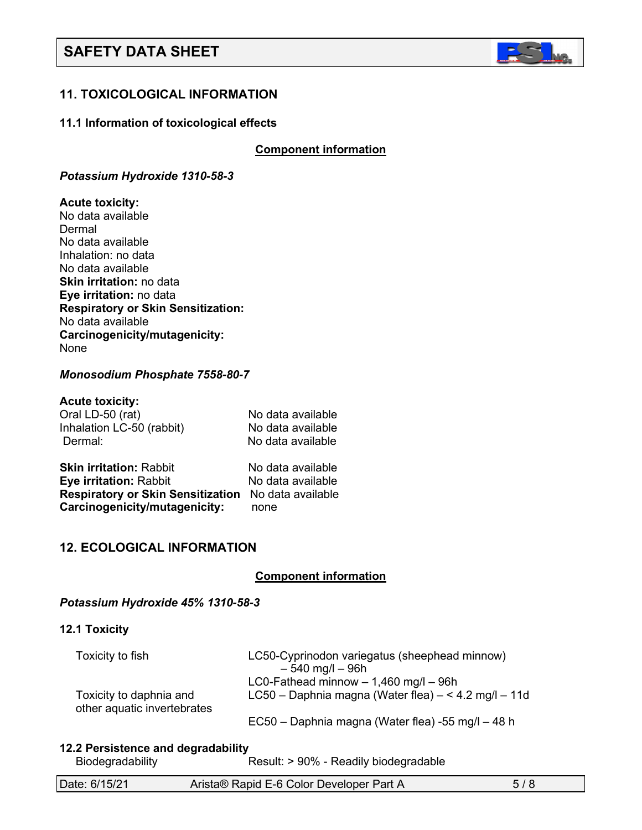

# **11. TOXICOLOGICAL INFORMATION**

#### **11.1 Information of toxicological effects**

**Component information** 

#### *Potassium Hydroxide 1310-58-3*

#### **Acute toxicity:**

No data available Dermal No data available Inhalation: no data No data available **Skin irritation:** no data **Eye irritation:** no data **Respiratory or Skin Sensitization:** No data available **Carcinogenicity/mutagenicity:** None

#### *Monosodium Phosphate 7558-80-7*

#### **Acute toxicity:**

| Oral LD-50 (rat)               | No data available |
|--------------------------------|-------------------|
| Inhalation LC-50 (rabbit)      | No data available |
| Dermal:                        | No data available |
| <b>Chin irritation:</b> Pahhit | No data available |

**Skin irritation:** Rabbit No data available **Eye irritation:** Rabbit No data available **Respiratory or Skin Sensitization** No data available **Carcinogenicity/mutagenicity:** none

# **12. ECOLOGICAL INFORMATION**

# **Component information**

#### *Potassium Hydroxide 45% 1310-58-3*

#### **12.1 Toxicity**

| Toxicity to fish                                       | LC50-Cyprinodon variegatus (sheephead minnow)<br>$-540$ mg/l $-96h$                             |
|--------------------------------------------------------|-------------------------------------------------------------------------------------------------|
| Toxicity to daphnia and<br>other aquatic invertebrates | LC0-Fathead minnow $-1,460$ mg/l $-96h$<br>LC50 - Daphnia magna (Water flea) - < 4.2 mg/l - 11d |
|                                                        | EC50 – Daphnia magna (Water flea) -55 mg/l – 48 h                                               |

#### **12.2 Persistence and degradability**

Biodegradability Result: > 90% - Readily biodegradable

| Date: 6/15/21 | Arista® Rapid E-6 Color Developer Part A |  |
|---------------|------------------------------------------|--|
|               |                                          |  |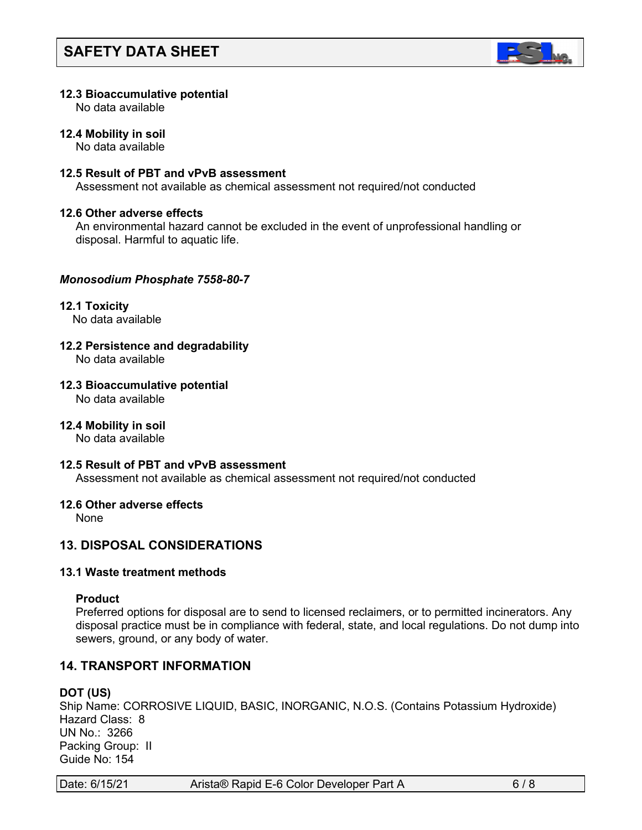

#### **12.3 Bioaccumulative potential**

No data available

#### **12.4 Mobility in soil**

No data available

### **12.5 Result of PBT and vPvB assessment**

Assessment not available as chemical assessment not required/not conducted

#### **12.6 Other adverse effects**

An environmental hazard cannot be excluded in the event of unprofessional handling or disposal. Harmful to aquatic life.

#### *Monosodium Phosphate 7558-80-7*

**12.1 Toxicity** No data available

# **12.2 Persistence and degradability**

No data available

**12.3 Bioaccumulative potential**

No data available

**12.4 Mobility in soil**

No data available

#### **12.5 Result of PBT and vPvB assessment**

Assessment not available as chemical assessment not required/not conducted

#### **12.6 Other adverse effects**

None

# **13. DISPOSAL CONSIDERATIONS**

#### **13.1 Waste treatment methods**

#### **Product**

Preferred options for disposal are to send to licensed reclaimers, or to permitted incinerators. Any disposal practice must be in compliance with federal, state, and local regulations. Do not dump into sewers, ground, or any body of water.

# **14. TRANSPORT INFORMATION**

# **DOT (US)**

Ship Name: CORROSIVE LIQUID, BASIC, INORGANIC, N.O.S. (Contains Potassium Hydroxide) Hazard Class: 8 UN No.: 3266 Packing Group: II Guide No: 154

| Date: 6/15/21 | Arista® Rapid E-6 Color Developer Part A | $6/8$ |
|---------------|------------------------------------------|-------|
|---------------|------------------------------------------|-------|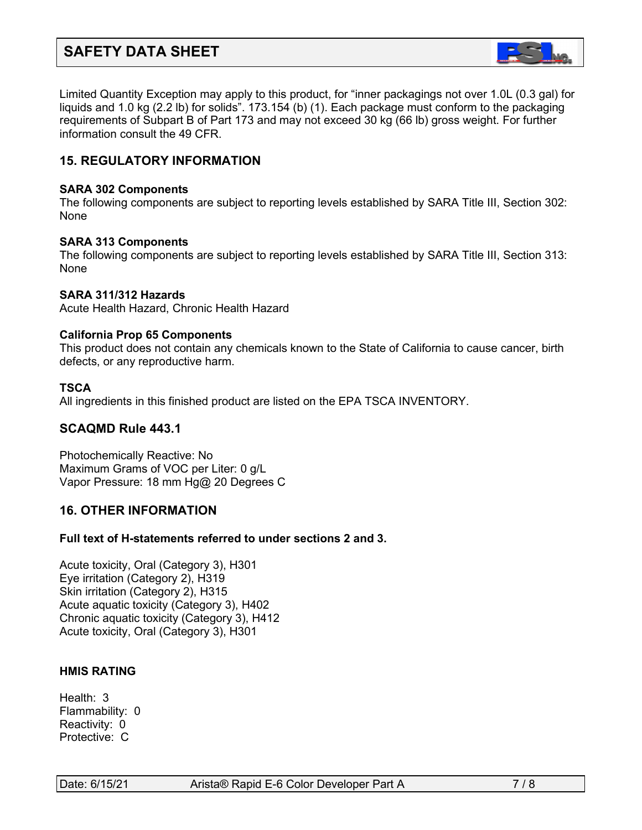

Limited Quantity Exception may apply to this product, for "inner packagings not over 1.0L (0.3 gal) for liquids and 1.0 kg (2.2 lb) for solids". 173.154 (b) (1). Each package must conform to the packaging requirements of Subpart B of Part 173 and may not exceed 30 kg (66 lb) gross weight. For further information consult the 49 CFR.

# **15. REGULATORY INFORMATION**

#### **SARA 302 Components**

The following components are subject to reporting levels established by SARA Title III, Section 302: None

#### **SARA 313 Components**

The following components are subject to reporting levels established by SARA Title III, Section 313: None

# **SARA 311/312 Hazards**

Acute Health Hazard, Chronic Health Hazard

#### **California Prop 65 Components**

This product does not contain any chemicals known to the State of California to cause cancer, birth defects, or any reproductive harm.

#### **TSCA**

All ingredients in this finished product are listed on the EPA TSCA INVENTORY.

# **SCAQMD Rule 443.1**

Photochemically Reactive: No Maximum Grams of VOC per Liter: 0 g/L Vapor Pressure: 18 mm Hg@ 20 Degrees C

# **16. OTHER INFORMATION**

# **Full text of H-statements referred to under sections 2 and 3.**

Acute toxicity, Oral (Category 3), H301 Eye irritation (Category 2), H319 Skin irritation (Category 2), H315 Acute aquatic toxicity (Category 3), H402 Chronic aquatic toxicity (Category 3), H412 Acute toxicity, Oral (Category 3), H301

# **HMIS RATING**

Health: 3 Flammability: 0 Reactivity: 0 Protective: C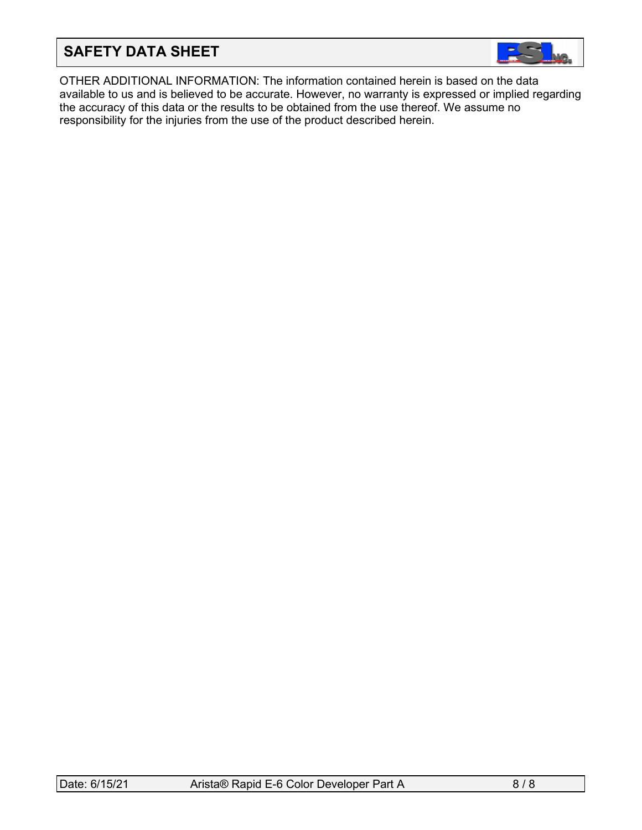

OTHER ADDITIONAL INFORMATION: The information contained herein is based on the data available to us and is believed to be accurate. However, no warranty is expressed or implied regarding the accuracy of this data or the results to be obtained from the use thereof. We assume no responsibility for the injuries from the use of the product described herein.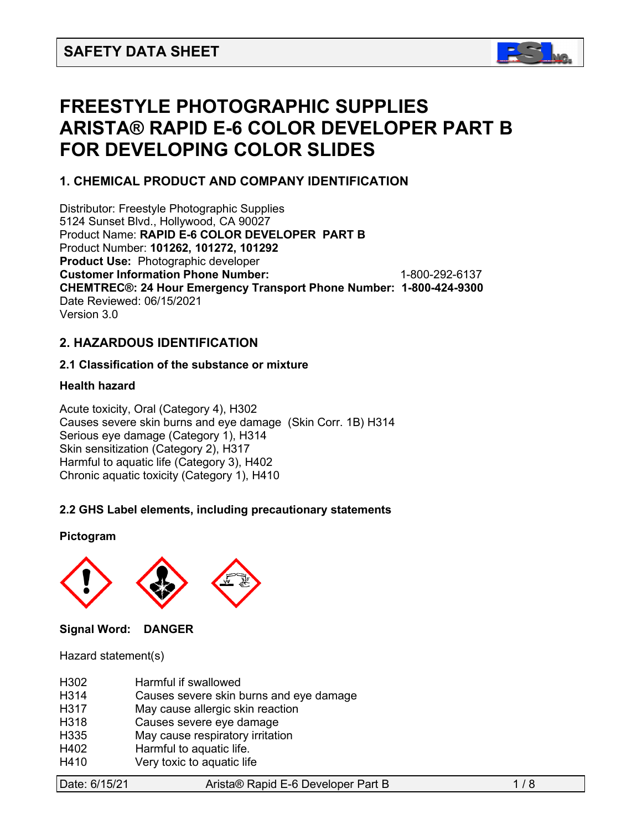

# **FREESTYLE PHOTOGRAPHIC SUPPLIES ARISTA® RAPID E-6 COLOR DEVELOPER PART B FOR DEVELOPING COLOR SLIDES**

# **1. CHEMICAL PRODUCT AND COMPANY IDENTIFICATION**

Distributor: Freestyle Photographic Supplies 5124 Sunset Blvd., Hollywood, CA 90027 Product Name: **RAPID E-6 COLOR DEVELOPER PART B** Product Number: **101262, 101272, 101292 Product Use:** Photographic developer **Customer Information Phone Number:** 1-800-292-6137 **CHEMTREC®: 24 Hour Emergency Transport Phone Number: 1-800-424-9300**  Date Reviewed: 06/15/2021 Version 3.0

# **2. HAZARDOUS IDENTIFICATION**

# **2.1 Classification of the substance or mixture**

# **Health hazard**

Acute toxicity, Oral (Category 4), H302 Causes severe skin burns and eye damage (Skin Corr. 1B) H314 Serious eye damage (Category 1), H314 Skin sensitization (Category 2), H317 Harmful to aquatic life (Category 3), H402 Chronic aquatic toxicity (Category 1), H410

# **2.2 GHS Label elements, including precautionary statements**

# **Pictogram**



**Signal Word: DANGER** 

Hazard statement(s)

| H302             | Harmful if swallowed                    |
|------------------|-----------------------------------------|
| H314             | Causes severe skin burns and eye damage |
| H317             | May cause allergic skin reaction        |
| H318             | Causes severe eye damage                |
| H <sub>335</sub> | May cause respiratory irritation        |
| H402             | Harmful to aquatic life.                |
| H410             | Very toxic to aquatic life              |
|                  |                                         |

| Date: 6/15/21 |
|---------------|
|               |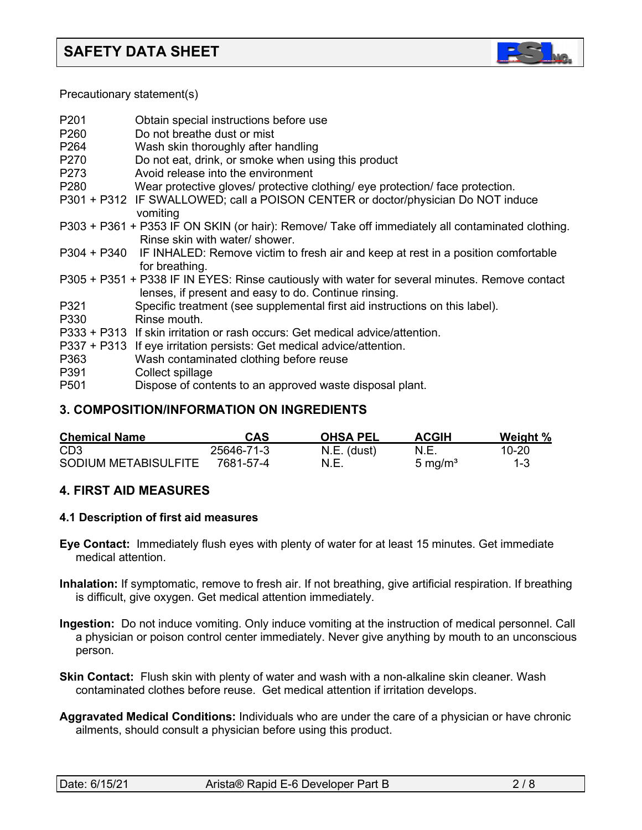

Precautionary statement(s)

| P <sub>201</sub><br>P <sub>260</sub><br>P <sub>264</sub><br>P270<br>P273 | Obtain special instructions before use<br>Do not breathe dust or mist<br>Wash skin thoroughly after handling<br>Do not eat, drink, or smoke when using this product<br>Avoid release into the environment |
|--------------------------------------------------------------------------|-----------------------------------------------------------------------------------------------------------------------------------------------------------------------------------------------------------|
| P <sub>280</sub>                                                         | Wear protective gloves/ protective clothing/ eye protection/ face protection.                                                                                                                             |
|                                                                          | P301 + P312 IF SWALLOWED; call a POISON CENTER or doctor/physician Do NOT induce<br>vomiting                                                                                                              |
|                                                                          | P303 + P361 + P353 IF ON SKIN (or hair): Remove/ Take off immediately all contaminated clothing.<br>Rinse skin with water/ shower.                                                                        |
|                                                                          | P304 + P340 IF INHALED: Remove victim to fresh air and keep at rest in a position comfortable<br>for breathing.                                                                                           |
|                                                                          | P305 + P351 + P338 IF IN EYES: Rinse cautiously with water for several minutes. Remove contact<br>lenses, if present and easy to do. Continue rinsing.                                                    |
| P321                                                                     | Specific treatment (see supplemental first aid instructions on this label).                                                                                                                               |
| P330                                                                     | Rinse mouth.                                                                                                                                                                                              |
|                                                                          | P333 + P313 If skin irritation or rash occurs: Get medical advice/attention.                                                                                                                              |
| P363<br>P391                                                             | P337 + P313 If eye irritation persists: Get medical advice/attention.<br>Wash contaminated clothing before reuse<br>Collect spillage                                                                      |
| P <sub>501</sub>                                                         | Dispose of contents to an approved waste disposal plant.                                                                                                                                                  |

# **3. COMPOSITION/INFORMATION ON INGREDIENTS**

| <b>Chemical Name</b> | CAS        | <b>OHSA PEL</b> | <b>ACGIH</b>        | Weight % |
|----------------------|------------|-----------------|---------------------|----------|
| CD <sub>3</sub>      | 25646-71-3 | N.E. (dust)     | N.E.                | 10-20    |
| SODIUM METABISULFITE | 7681-57-4  | N.E.            | 5 mg/m <sup>3</sup> | $1 - 3$  |

# **4. FIRST AID MEASURES**

# **4.1 Description of first aid measures**

- **Eye Contact:** Immediately flush eyes with plenty of water for at least 15 minutes. Get immediate medical attention.
- **Inhalation:** If symptomatic, remove to fresh air. If not breathing, give artificial respiration. If breathing is difficult, give oxygen. Get medical attention immediately.
- **Ingestion:** Do not induce vomiting. Only induce vomiting at the instruction of medical personnel. Call a physician or poison control center immediately. Never give anything by mouth to an unconscious person.
- **Skin Contact:** Flush skin with plenty of water and wash with a non-alkaline skin cleaner. Wash contaminated clothes before reuse. Get medical attention if irritation develops.
- **Aggravated Medical Conditions:** Individuals who are under the care of a physician or have chronic ailments, should consult a physician before using this product.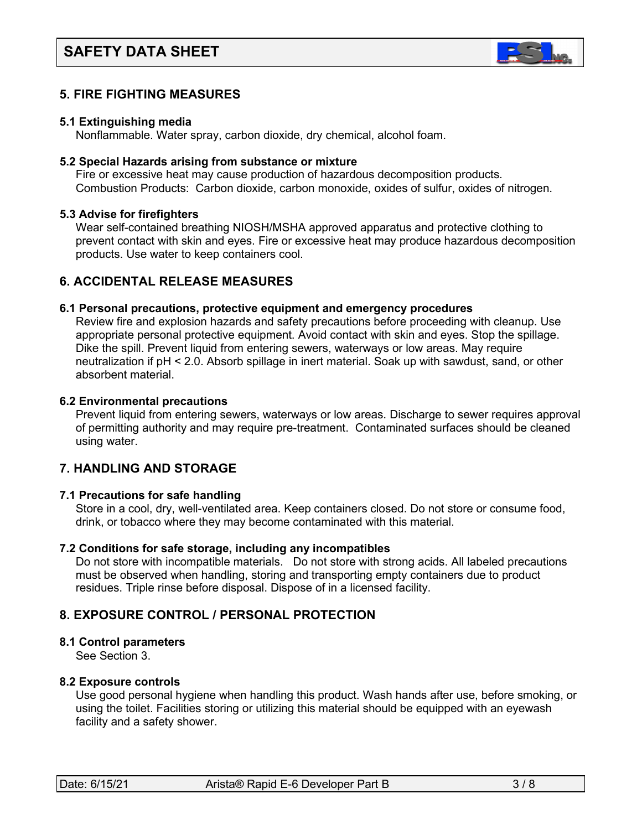

# **5. FIRE FIGHTING MEASURES**

#### **5.1 Extinguishing media**

Nonflammable. Water spray, carbon dioxide, dry chemical, alcohol foam.

#### **5.2 Special Hazards arising from substance or mixture**

 Fire or excessive heat may cause production of hazardous decomposition products. Combustion Products: Carbon dioxide, carbon monoxide, oxides of sulfur, oxides of nitrogen.

#### **5.3 Advise for firefighters**

Wear self-contained breathing NIOSH/MSHA approved apparatus and protective clothing to prevent contact with skin and eyes. Fire or excessive heat may produce hazardous decomposition products. Use water to keep containers cool.

# **6. ACCIDENTAL RELEASE MEASURES**

#### **6.1 Personal precautions, protective equipment and emergency procedures**

Review fire and explosion hazards and safety precautions before proceeding with cleanup. Use appropriate personal protective equipment. Avoid contact with skin and eyes. Stop the spillage. Dike the spill. Prevent liquid from entering sewers, waterways or low areas. May require neutralization if pH < 2.0. Absorb spillage in inert material. Soak up with sawdust, sand, or other absorbent material.

#### **6.2 Environmental precautions**

 Prevent liquid from entering sewers, waterways or low areas. Discharge to sewer requires approval of permitting authority and may require pre-treatment. Contaminated surfaces should be cleaned using water.

# **7. HANDLING AND STORAGE**

# **7.1 Precautions for safe handling**

 Store in a cool, dry, well-ventilated area. Keep containers closed. Do not store or consume food, drink, or tobacco where they may become contaminated with this material.

#### **7.2 Conditions for safe storage, including any incompatibles**

Do not store with incompatible materials. Do not store with strong acids. All labeled precautions must be observed when handling, storing and transporting empty containers due to product residues. Triple rinse before disposal. Dispose of in a licensed facility.

# **8. EXPOSURE CONTROL / PERSONAL PROTECTION**

#### **8.1 Control parameters**

See Section 3.

# **8.2 Exposure controls**

Use good personal hygiene when handling this product. Wash hands after use, before smoking, or using the toilet. Facilities storing or utilizing this material should be equipped with an eyewash facility and a safety shower.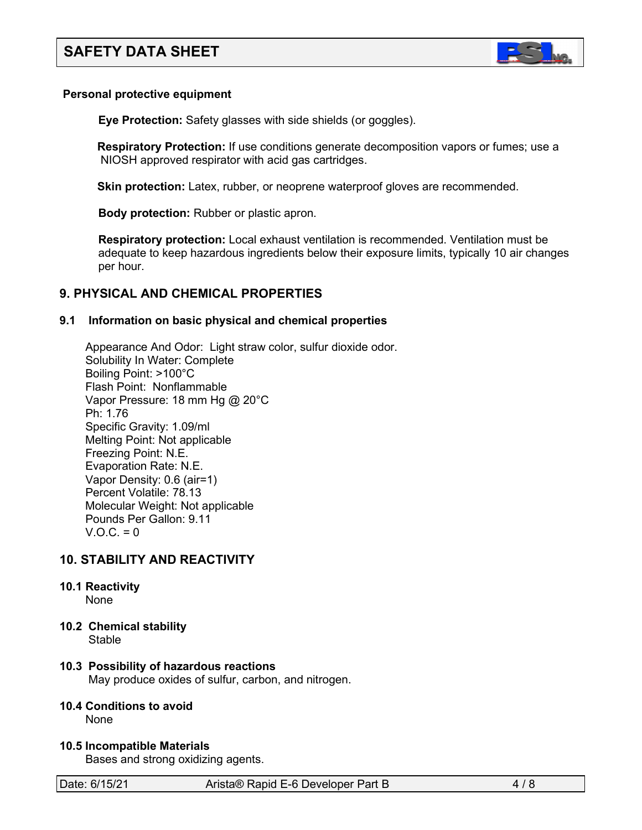

#### **Personal protective equipment**

**Eye Protection:** Safety glasses with side shields (or goggles).

**Respiratory Protection:** If use conditions generate decomposition vapors or fumes; use a NIOSH approved respirator with acid gas cartridges.

**Skin protection:** Latex, rubber, or neoprene waterproof gloves are recommended.

 **Body protection:** Rubber or plastic apron.

 **Respiratory protection:** Local exhaust ventilation is recommended. Ventilation must be adequate to keep hazardous ingredients below their exposure limits, typically 10 air changes per hour.

# **9. PHYSICAL AND CHEMICAL PROPERTIES**

#### **9.1 Information on basic physical and chemical properties**

Appearance And Odor: Light straw color, sulfur dioxide odor. Solubility In Water: Complete Boiling Point: >100°C Flash Point: Nonflammable Vapor Pressure: 18 mm Hg @ 20°C Ph: 1.76 Specific Gravity: 1.09/ml Melting Point: Not applicable Freezing Point: N.E. Evaporation Rate: N.E. Vapor Density: 0.6 (air=1) Percent Volatile: 78.13 Molecular Weight: Not applicable Pounds Per Gallon: 9.11  $V.O.C. = 0$ 

# **10. STABILITY AND REACTIVITY**

# **10.1 Reactivity**

None

**10.2 Chemical stability**

Stable

# **10.3 Possibility of hazardous reactions**

May produce oxides of sulfur, carbon, and nitrogen.

# **10.4 Conditions to avoid**

None

**10.5 Incompatible Materials**

Bases and strong oxidizing agents.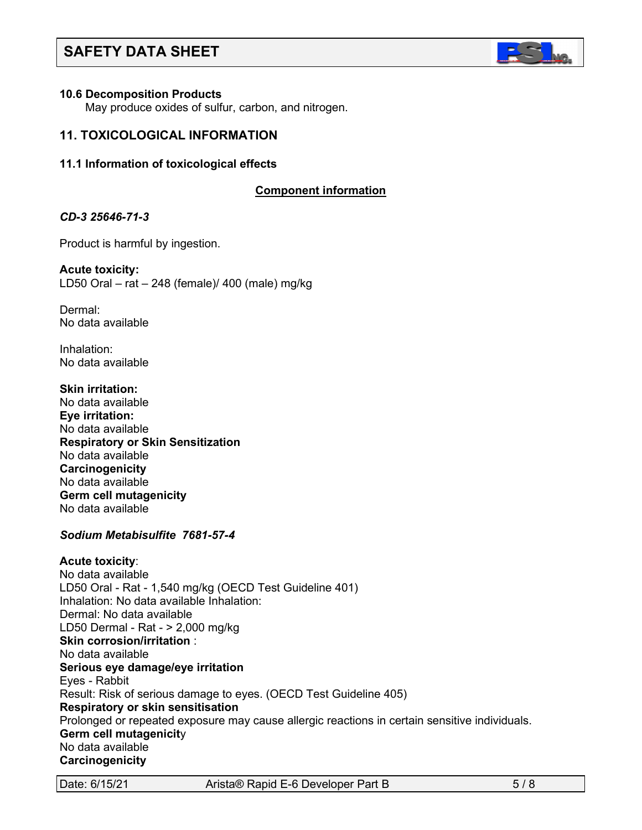

#### **10.6 Decomposition Products**

May produce oxides of sulfur, carbon, and nitrogen.

# **11. TOXICOLOGICAL INFORMATION**

#### **11.1 Information of toxicological effects**

# **C**C**omponent information**

#### *CD-3 25646-71-3*

Product is harmful by ingestion.

**Acute toxicity:** LD50 Oral – rat – 248 (female)/ 400 (male) mg/kg

Dermal: No data available

Inhalation: No data available

**Skin irritation:**  No data available **Eye irritation:**  No data available **Respiratory or Skin Sensitization** No data available **Carcinogenicity** No data available **Germ cell mutagenicity** No data available

#### *Sodium Metabisulfite 7681-57-4*

#### **Acute toxicity**:

No data available LD50 Oral - Rat - 1,540 mg/kg (OECD Test Guideline 401) Inhalation: No data available Inhalation: Dermal: No data available LD50 Dermal - Rat - > 2,000 mg/kg **Skin corrosion/irritation** : No data available **Serious eye damage/eye irritation** Eyes - Rabbit Result: Risk of serious damage to eyes. (OECD Test Guideline 405) **Respiratory or skin sensitisation** Prolonged or repeated exposure may cause allergic reactions in certain sensitive individuals. **Germ cell mutagenicit**y No data available **Carcinogenicity**

Date: 6/15/21 Arista® Rapid E-6 Developer Part B 5/8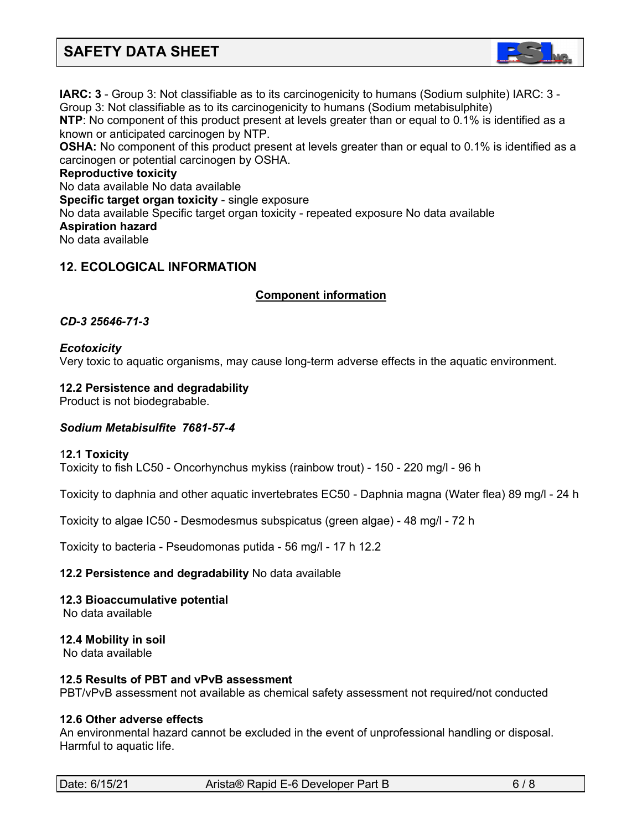

**IARC: 3** - Group 3: Not classifiable as to its carcinogenicity to humans (Sodium sulphite) IARC: 3 - Group 3: Not classifiable as to its carcinogenicity to humans (Sodium metabisulphite) **NTP**: No component of this product present at levels greater than or equal to 0.1% is identified as a known or anticipated carcinogen by NTP. **OSHA:** No component of this product present at levels greater than or equal to 0.1% is identified as a carcinogen or potential carcinogen by OSHA. **Reproductive toxicity** No data available No data available **Specific target organ toxicity** - single exposure

#### No data available Specific target organ toxicity - repeated exposure No data available **Aspiration hazard**

No data available

# **12. ECOLOGICAL INFORMATION**

# <sup>C</sup>**C**C**omponent information**

#### *CD-3 25646-71-3*

# *Ecotoxicity*

Very toxic to aquatic organisms, may cause long-term adverse effects in the aquatic environment.

#### **12.2 Persistence and degradability**

Product is not biodegrabable.

#### *Sodium Metabisulfite 7681-57-4*

#### 1**2.1 Toxicity**

Toxicity to fish LC50 - Oncorhynchus mykiss (rainbow trout) - 150 - 220 mg/l - 96 h

Toxicity to daphnia and other aquatic invertebrates EC50 - Daphnia magna (Water flea) 89 mg/l - 24 h

Toxicity to algae IC50 - Desmodesmus subspicatus (green algae) - 48 mg/l - 72 h

Toxicity to bacteria - Pseudomonas putida - 56 mg/l - 17 h 12.2

#### **12.2 Persistence and degradability** No data available

**12.3 Bioaccumulative potential** No data available

**12.4 Mobility in soil** No data available

#### **12.5 Results of PBT and vPvB assessment**

PBT/vPvB assessment not available as chemical safety assessment not required/not conducted

# **12.6 Other adverse effects**

An environmental hazard cannot be excluded in the event of unprofessional handling or disposal. Harmful to aquatic life.

| Date: 6/15/21 |  |
|---------------|--|
|---------------|--|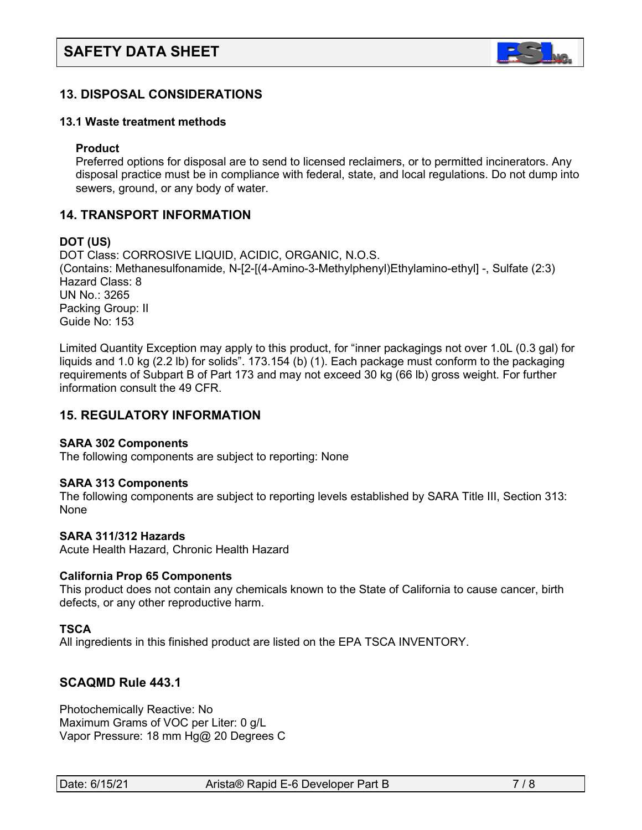

# **13. DISPOSAL CONSIDERATIONS**

#### **13.1 Waste treatment methods**

#### **Product**

Preferred options for disposal are to send to licensed reclaimers, or to permitted incinerators. Any disposal practice must be in compliance with federal, state, and local regulations. Do not dump into sewers, ground, or any body of water.

# **14. TRANSPORT INFORMATION**

#### **DOT (US)**

DOT Class: CORROSIVE LIQUID, ACIDIC, ORGANIC, N.O.S. (Contains: Methanesulfonamide, N-[2-[(4-Amino-3-Methylphenyl)Ethylamino-ethyl] -, Sulfate (2:3) Hazard Class: 8 UN No.: 3265 Packing Group: II Guide No: 153

Limited Quantity Exception may apply to this product, for "inner packagings not over 1.0L (0.3 gal) for liquids and 1.0 kg (2.2 lb) for solids". 173.154 (b) (1). Each package must conform to the packaging requirements of Subpart B of Part 173 and may not exceed 30 kg (66 lb) gross weight. For further information consult the 49 CFR.

# **15. REGULATORY INFORMATION**

#### **SARA 302 Components**

The following components are subject to reporting: None

#### **SARA 313 Components**

The following components are subject to reporting levels established by SARA Title III, Section 313: **None** 

#### **SARA 311/312 Hazards**

Acute Health Hazard, Chronic Health Hazard

#### **California Prop 65 Components**

This product does not contain any chemicals known to the State of California to cause cancer, birth defects, or any other reproductive harm.

#### **TSCA**

All ingredients in this finished product are listed on the EPA TSCA INVENTORY.

# **SCAQMD Rule 443.1**

Photochemically Reactive: No Maximum Grams of VOC per Liter: 0 g/L Vapor Pressure: 18 mm Hg@ 20 Degrees C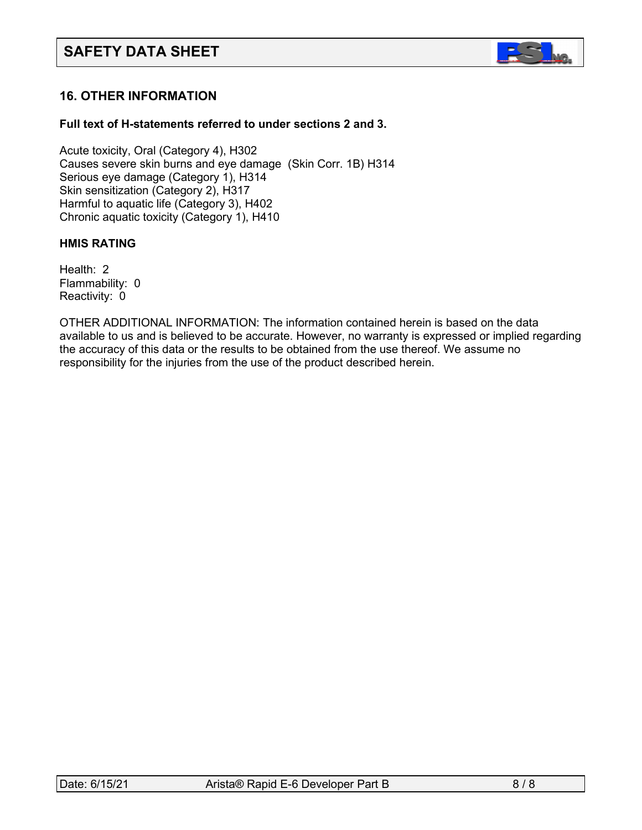

# **16. OTHER INFORMATION**

# **Full text of H-statements referred to under sections 2 and 3.**

Acute toxicity, Oral (Category 4), H302 Causes severe skin burns and eye damage (Skin Corr. 1B) H314 Serious eye damage (Category 1), H314 Skin sensitization (Category 2), H317 Harmful to aquatic life (Category 3), H402 Chronic aquatic toxicity (Category 1), H410

#### **HMIS RATING**

Health: 2 Flammability: 0 Reactivity: 0

OTHER ADDITIONAL INFORMATION: The information contained herein is based on the data available to us and is believed to be accurate. However, no warranty is expressed or implied regarding the accuracy of this data or the results to be obtained from the use thereof. We assume no responsibility for the injuries from the use of the product described herein.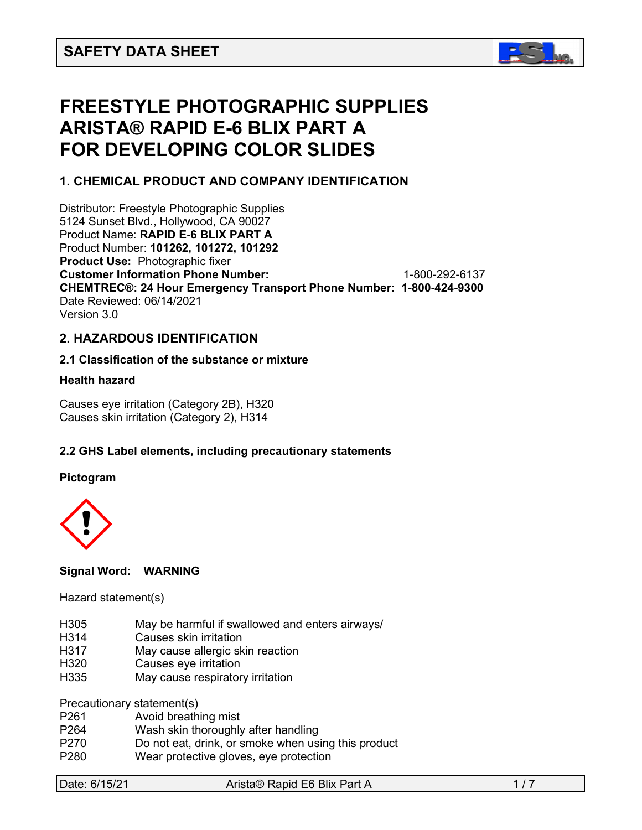

# **FREESTYLE PHOTOGRAPHIC SUPPLIES ARISTA® RAPID E-6 BLIX PART A FOR DEVELOPING COLOR SLIDES**

# **1. CHEMICAL PRODUCT AND COMPANY IDENTIFICATION**

Distributor: Freestyle Photographic Supplies 5124 Sunset Blvd., Hollywood, CA 90027 Product Name: **RAPID E-6 BLIX PART A** Product Number: **101262, 101272, 101292 Product Use:** Photographic fixer **Customer Information Phone Number:** 1-800-292-6137 **CHEMTREC®: 24 Hour Emergency Transport Phone Number: 1-800-424-9300**  Date Reviewed: 06/14/2021 Version 3.0

# **2. HAZARDOUS IDENTIFICATION**

#### **2.1 Classification of the substance or mixture**

#### **Health hazard**

Causes eye irritation (Category 2B), H320 Causes skin irritation (Category 2), H314

# **2.2 GHS Label elements, including precautionary statements**

#### **Pictogram**



# **Signal Word: WARNING**

#### Hazard statement(s)

- H305 May be harmful if swallowed and enters airways/
- H314 Causes skin irritation
- H317 May cause allergic skin reaction
- H320 Causes eye irritation
- H335 May cause respiratory irritation

Precautionary statement(s)

- P261 Avoid breathing mist
- P264 Wash skin thoroughly after handling
- P270 Do not eat, drink, or smoke when using this product
- P280 Wear protective gloves, eye protection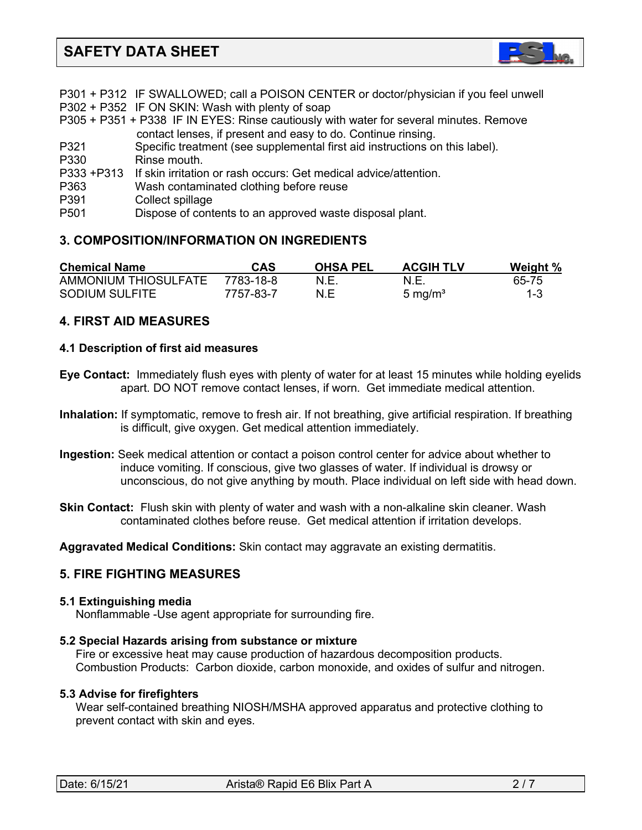

|                  | P301 + P312 IF SWALLOWED; call a POISON CENTER or doctor/physician if you feel unwell  |
|------------------|----------------------------------------------------------------------------------------|
|                  | P302 + P352 IF ON SKIN: Wash with plenty of soap                                       |
|                  | P305 + P351 + P338 IF IN EYES: Rinse cautiously with water for several minutes. Remove |
|                  | contact lenses, if present and easy to do. Continue rinsing.                           |
| P321             | Specific treatment (see supplemental first aid instructions on this label).            |
| P330             | Rinse mouth.                                                                           |
| P333 +P313       | If skin irritation or rash occurs: Get medical advice/attention.                       |
| P363             | Wash contaminated clothing before reuse                                                |
| P391             | Collect spillage                                                                       |
| P <sub>501</sub> | Dispose of contents to an approved waste disposal plant.                               |
|                  |                                                                                        |

# **3. COMPOSITION/INFORMATION ON INGREDIENTS**

| <b>Chemical Name</b> | CAS       | <b>OHSA PEL</b> | <b>ACGIH TLV</b>    | Weight % |
|----------------------|-----------|-----------------|---------------------|----------|
| AMMONIUM THIOSULFATE | 7783-18-8 | N.E             | N.E.                | 65-75    |
| SODIUM SULFITE       | 7757-83-7 | N.E             | 5 mg/m <sup>3</sup> | $1 - 3$  |

# **4. FIRST AID MEASURES**

#### **4.1 Description of first aid measures**

- **Eye Contact:** Immediately flush eyes with plenty of water for at least 15 minutes while holding eyelids apart. DO NOT remove contact lenses, if worn. Get immediate medical attention.
- **Inhalation:** If symptomatic, remove to fresh air. If not breathing, give artificial respiration. If breathing is difficult, give oxygen. Get medical attention immediately.
- **Ingestion:** Seek medical attention or contact a poison control center for advice about whether to induce vomiting. If conscious, give two glasses of water. If individual is drowsy or unconscious, do not give anything by mouth. Place individual on left side with head down.
- **Skin Contact:** Flush skin with plenty of water and wash with a non-alkaline skin cleaner. Wash contaminated clothes before reuse. Get medical attention if irritation develops.

**Aggravated Medical Conditions:** Skin contact may aggravate an existing dermatitis.

# **5. FIRE FIGHTING MEASURES**

#### **5.1 Extinguishing media**

Nonflammable -Use agent appropriate for surrounding fire.

#### **5.2 Special Hazards arising from substance or mixture**

 Fire or excessive heat may cause production of hazardous decomposition products. Combustion Products: Carbon dioxide, carbon monoxide, and oxides of sulfur and nitrogen.

#### **5.3 Advise for firefighters**

Wear self-contained breathing NIOSH/MSHA approved apparatus and protective clothing to prevent contact with skin and eyes.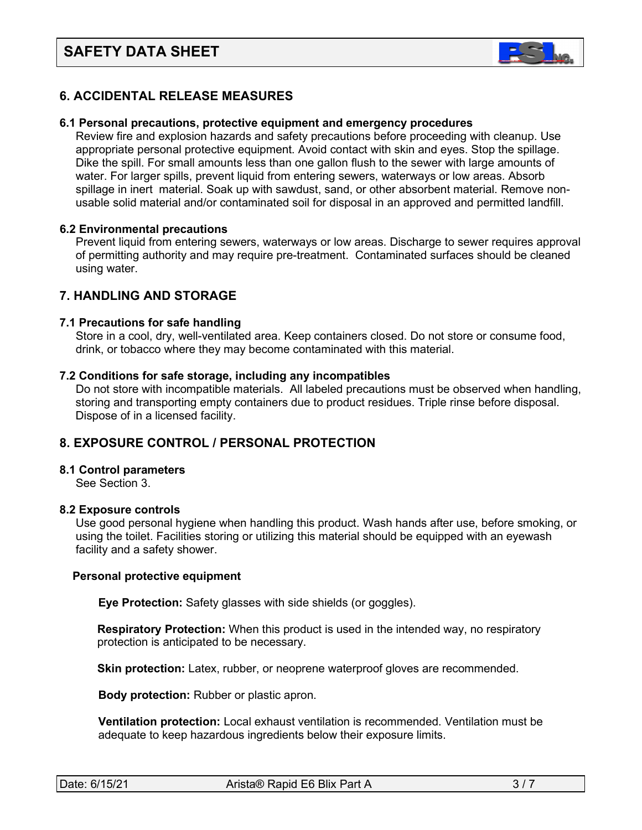

# **6. ACCIDENTAL RELEASE MEASURES**

#### **6.1 Personal precautions, protective equipment and emergency procedures**

Review fire and explosion hazards and safety precautions before proceeding with cleanup. Use appropriate personal protective equipment. Avoid contact with skin and eyes. Stop the spillage. Dike the spill. For small amounts less than one gallon flush to the sewer with large amounts of water. For larger spills, prevent liquid from entering sewers, waterways or low areas. Absorb spillage in inert material. Soak up with sawdust, sand, or other absorbent material. Remove non usable solid material and/or contaminated soil for disposal in an approved and permitted landfill.

#### **6.2 Environmental precautions**

 Prevent liquid from entering sewers, waterways or low areas. Discharge to sewer requires approval of permitting authority and may require pre-treatment. Contaminated surfaces should be cleaned using water.

# **7. HANDLING AND STORAGE**

#### **7.1 Precautions for safe handling**

 Store in a cool, dry, well-ventilated area. Keep containers closed. Do not store or consume food, drink, or tobacco where they may become contaminated with this material.

#### **7.2 Conditions for safe storage, including any incompatibles**

Do not store with incompatible materials. All labeled precautions must be observed when handling, storing and transporting empty containers due to product residues. Triple rinse before disposal. Dispose of in a licensed facility.

# **8. EXPOSURE CONTROL / PERSONAL PROTECTION**

#### **8.1 Control parameters**

See Section 3.

#### **8.2 Exposure controls**

Use good personal hygiene when handling this product. Wash hands after use, before smoking, or using the toilet. Facilities storing or utilizing this material should be equipped with an eyewash facility and a safety shower.

#### **Personal protective equipment**

**Eye Protection:** Safety glasses with side shields (or goggles).

**Respiratory Protection:** When this product is used in the intended way, no respiratory protection is anticipated to be necessary.

**Skin protection:** Latex, rubber, or neoprene waterproof gloves are recommended.

 **Body protection:** Rubber or plastic apron.

 **Ventilation protection:** Local exhaust ventilation is recommended. Ventilation must be adequate to keep hazardous ingredients below their exposure limits.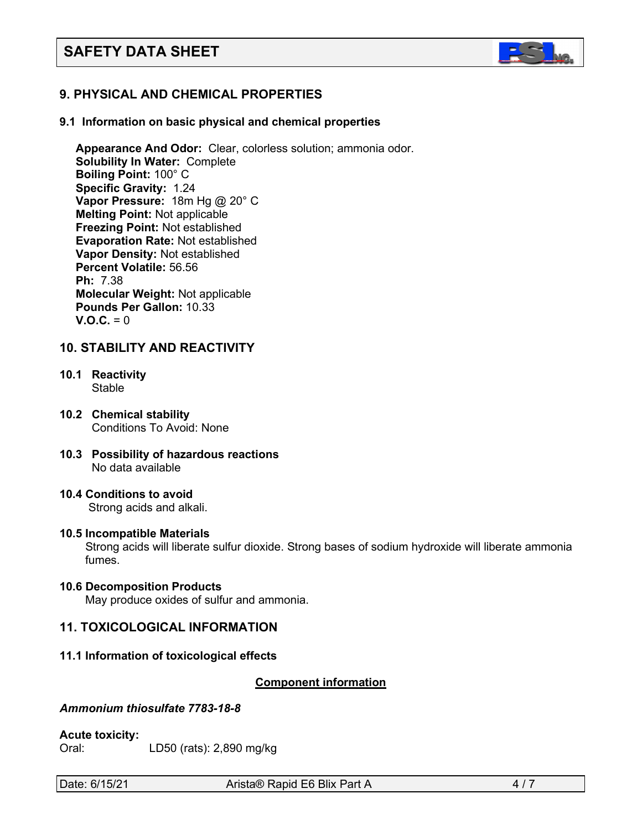

# **9. PHYSICAL AND CHEMICAL PROPERTIES**

#### **9.1 Information on basic physical and chemical properties**

 **Appearance And Odor:** Clear, colorless solution; ammonia odor. **Solubility In Water:** Complete **Boiling Point:** 100° C **Specific Gravity:** 1.24 **Vapor Pressure:** 18m Hg @ 20° C **Melting Point:** Not applicable **Freezing Point:** Not established **Evaporation Rate:** Not established **Vapor Density:** Not established **Percent Volatile:** 56.56 **Ph:** 7.38 **Molecular Weight:** Not applicable **Pounds Per Gallon:** 10.33  $V. Q.C. = 0$ 

# **10. STABILITY AND REACTIVITY**

- **10.1 Reactivity** Stable
- **10.2 Chemical stability** Conditions To Avoid: None
- **10.3 Possibility of hazardous reactions** No data available
- **10.4 Conditions to avoid** Strong acids and alkali.

#### **10.5 Incompatible Materials**

Strong acids will liberate sulfur dioxide. Strong bases of sodium hydroxide will liberate ammonia fumes.

#### **10.6 Decomposition Products**

May produce oxides of sulfur and ammonia.

# **11. TOXICOLOGICAL INFORMATION**

#### **11.1 Information of toxicological effects**

#### <sup>U</sup>**Component information**

# *Ammonium thiosulfate 7783-18-8*

#### **Acute toxicity:**

Oral: LD50 (rats): 2,890 mg/kg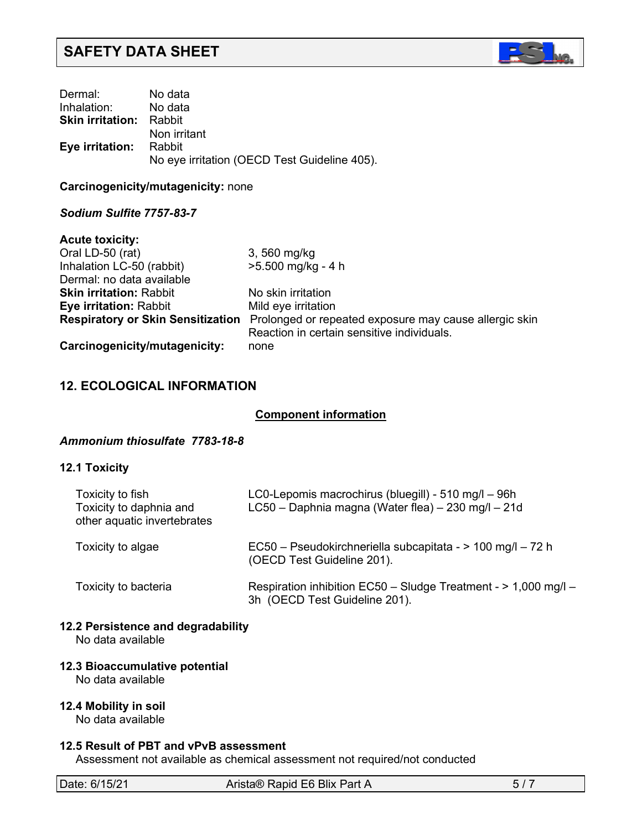

| Dermal:                        | No data                                      |
|--------------------------------|----------------------------------------------|
| Inhalation: No data            |                                              |
| <b>Skin irritation:</b> Rabbit |                                              |
|                                | Non irritant                                 |
| <b>Eye irritation:</b> Rabbit  |                                              |
|                                | No eye irritation (OECD Test Guideline 405). |

**Carcinogenicity/mutagenicity:** none

# *Sodium Sulfite 7757-83-7*

| <b>Acute toxicity:</b>         |                                                                                          |
|--------------------------------|------------------------------------------------------------------------------------------|
| Oral LD-50 (rat)               | 3, 560 mg/kg                                                                             |
| Inhalation LC-50 (rabbit)      | $>5.500$ mg/kg - 4 h                                                                     |
| Dermal: no data available      |                                                                                          |
| <b>Skin irritation: Rabbit</b> | No skin irritation                                                                       |
| <b>Eye irritation: Rabbit</b>  | Mild eye irritation                                                                      |
|                                | Respiratory or Skin Sensitization Prolonged or repeated exposure may cause allergic skin |
|                                | Reaction in certain sensitive individuals.                                               |
| Carcinogenicity/mutagenicity:  | none                                                                                     |

# **12. ECOLOGICAL INFORMATION**

#### **Component information**

#### *Ammonium thiosulfate 7783-18-8*

# **12.1 Toxicity**

| Toxicity to fish<br>Toxicity to daphnia and<br>other aquatic invertebrates | LC0-Lepomis macrochirus (bluegill) - 510 mg/l - 96h<br>LC50 - Daphnia magna (Water flea) - 230 mg/l - 21d |  |  |
|----------------------------------------------------------------------------|-----------------------------------------------------------------------------------------------------------|--|--|
| Toxicity to algae                                                          | EC50 - Pseudokirchneriella subcapitata - > 100 mg/l - 72 h<br>(OECD Test Guideline 201).                  |  |  |
| Toxicity to bacteria                                                       | Respiration inhibition EC50 - Sludge Treatment - > 1,000 mg/l -<br>3h (OECD Test Guideline 201).          |  |  |

# **12.2 Persistence and degradability**

No data available

# **12.3 Bioaccumulative potential**

No data available

# **12.4 Mobility in soil**

No data available

#### **12.5 Result of PBT and vPvB assessment**

Assessment not available as chemical assessment not required/not conducted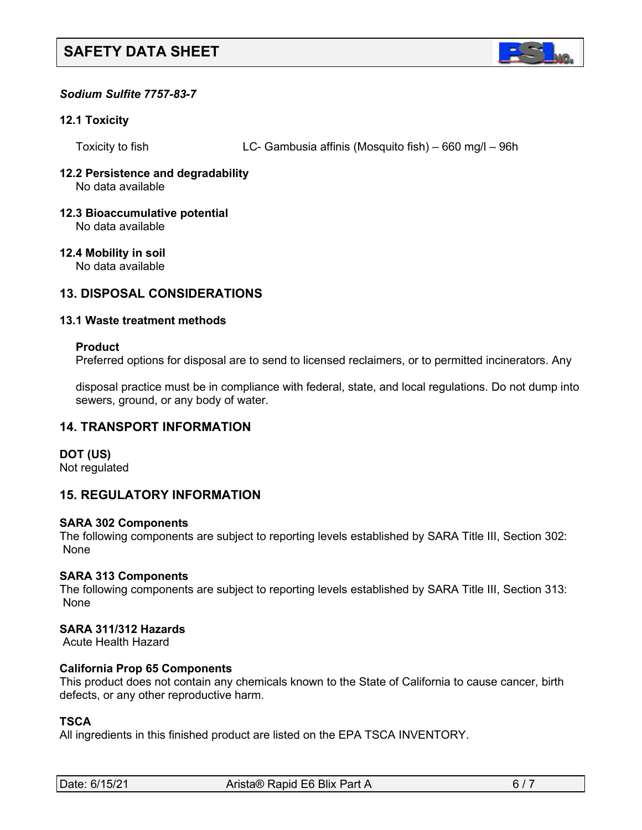

# *Sodium Sulfite 7757-83-7*

#### **12.1 Toxicity**

Toxicity to fish LC- Gambusia affinis (Mosquito fish) – 660 mg/l – 96h

#### **12.2 Persistence and degradability** No data available

**12.3 Bioaccumulative potential** No data available

# **12.4 Mobility in soil**

No data available

# **13. DISPOSAL CONSIDERATIONS**

#### **13.1 Waste treatment methods**

#### **Product**

Preferred options for disposal are to send to licensed reclaimers, or to permitted incinerators. Any

 disposal practice must be in compliance with federal, state, and local regulations. Do not dump into sewers, ground, or any body of water.

# **14. TRANSPORT INFORMATION**

# **DOT (US)**

Not regulated

# **15. REGULATORY INFORMATION**

#### **SARA 302 Components**

The following components are subject to reporting levels established by SARA Title III, Section 302: None

# **SARA 313 Components**

The following components are subject to reporting levels established by SARA Title III, Section 313: None

# **SARA 311/312 Hazards**

Acute Health Hazard

# **California Prop 65 Components**

This product does not contain any chemicals known to the State of California to cause cancer, birth defects, or any other reproductive harm.

# **TSCA**

All ingredients in this finished product are listed on the EPA TSCA INVENTORY.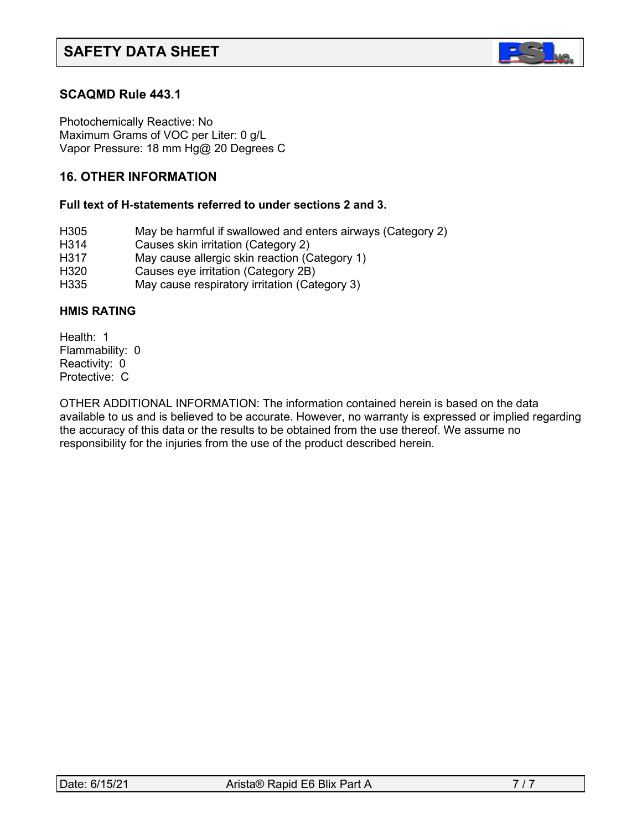

# **SCAQMD Rule 443.1**

Photochemically Reactive: No Maximum Grams of VOC per Liter: 0 g/L Vapor Pressure: 18 mm Hg@ 20 Degrees C

# **16. OTHER INFORMATION**

#### **Full text of H-statements referred to under sections 2 and 3.**

- H305 May be harmful if swallowed and enters airways (Category 2)
- H314 Causes skin irritation (Category 2)
- H317 May cause allergic skin reaction (Category 1)
- H320 Causes eye irritation (Category 2B)
- H335 May cause respiratory irritation (Category 3)

#### **HMIS RATING**

Health: 1 Flammability: 0 Reactivity: 0 Protective: C

OTHER ADDITIONAL INFORMATION: The information contained herein is based on the data available to us and is believed to be accurate. However, no warranty is expressed or implied regarding the accuracy of this data or the results to be obtained from the use thereof. We assume no responsibility for the injuries from the use of the product described herein.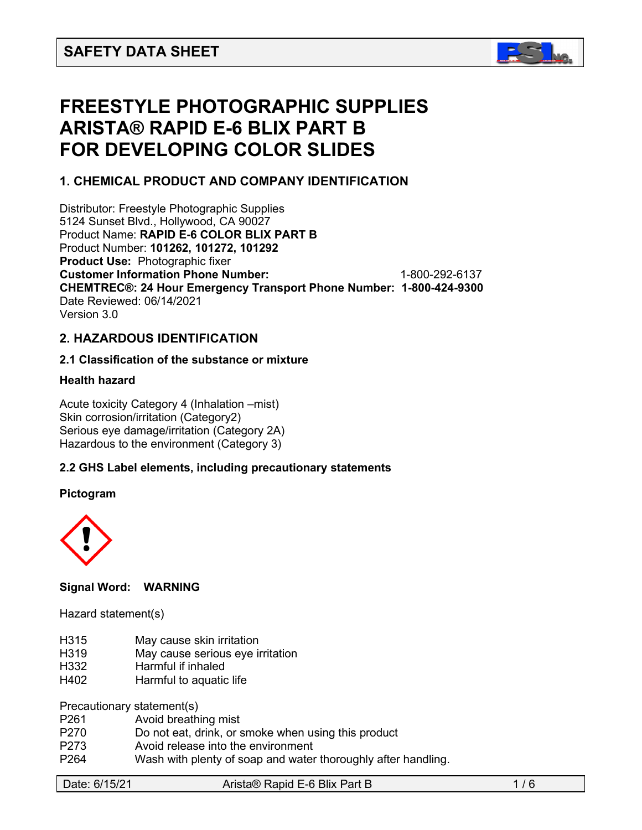

# **FREESTYLE PHOTOGRAPHIC SUPPLIES ARISTA® RAPID E-6 BLIX PART B FOR DEVELOPING COLOR SLIDES**

# **1. CHEMICAL PRODUCT AND COMPANY IDENTIFICATION**

Distributor: Freestyle Photographic Supplies 5124 Sunset Blvd., Hollywood, CA 90027 Product Name: **RAPID E-6 COLOR BLIX PART B** Product Number: **101262, 101272, 101292 Product Use:** Photographic fixer **Customer Information Phone Number:** 1-800-292-6137 **CHEMTREC®: 24 Hour Emergency Transport Phone Number: 1-800-424-9300**  Date Reviewed: 06/14/2021 Version 3.0

# **2. HAZARDOUS IDENTIFICATION**

# **2.1 Classification of the substance or mixture**

# **Health hazard**

Acute toxicity Category 4 (Inhalation –mist) Skin corrosion/irritation (Category2) Serious eye damage/irritation (Category 2A) Hazardous to the environment (Category 3)

# **2.2 GHS Label elements, including precautionary statements**

#### **Pictogram**



# **Signal Word: WARNING**

Hazard statement(s)

- H315 May cause skin irritation
- H319 May cause serious eye irritation
- H332 Harmful if inhaled
- H402 Harmful to aquatic life

Precautionary statement(s)

- P261 Avoid breathing mist
- P270 Do not eat, drink, or smoke when using this product
- P273 Avoid release into the environment
- P264 Wash with plenty of soap and water thoroughly after handling.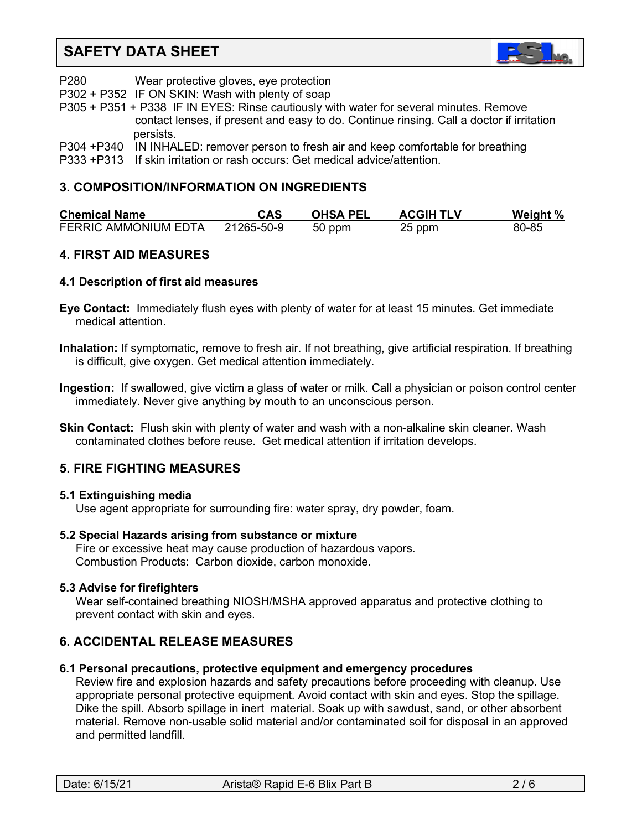

- P280 Wear protective gloves, eye protection
- P302 + P352 IF ON SKIN: Wash with plenty of soap

P305 + P351 + P338 IF IN EYES: Rinse cautiously with water for several minutes. Remove contact lenses, if present and easy to do. Continue rinsing. Call a doctor if irritation persists.

- P304 +P340 IN INHALED: remover person to fresh air and keep comfortable for breathing
- P333 +P313 If skin irritation or rash occurs: Get medical advice/attention.

# **3. COMPOSITION/INFORMATION ON INGREDIENTS**

| <b>Chemical Name</b>        | CAS        | <b>OHSA PEL</b> | <b>ACGIH TLV</b> | Weight % |
|-----------------------------|------------|-----------------|------------------|----------|
| <b>FERRIC AMMONIUM EDTA</b> | 21265-50-9 | 50 ppm          | 25 ppm           | 80-85    |

# **4. FIRST AID MEASURES**

# **4.1 Description of first aid measures**

- **Eye Contact:** Immediately flush eyes with plenty of water for at least 15 minutes. Get immediate medical attention.
- **Inhalation:** If symptomatic, remove to fresh air. If not breathing, give artificial respiration. If breathing is difficult, give oxygen. Get medical attention immediately.
- **Ingestion:** If swallowed, give victim a glass of water or milk. Call a physician or poison control center immediately. Never give anything by mouth to an unconscious person.
- **Skin Contact:** Flush skin with plenty of water and wash with a non-alkaline skin cleaner. Wash contaminated clothes before reuse. Get medical attention if irritation develops.

# **5. FIRE FIGHTING MEASURES**

# **5.1 Extinguishing media**

Use agent appropriate for surrounding fire: water spray, dry powder, foam.

# **5.2 Special Hazards arising from substance or mixture**

 Fire or excessive heat may cause production of hazardous vapors. Combustion Products: Carbon dioxide, carbon monoxide.

# **5.3 Advise for firefighters**

Wear self-contained breathing NIOSH/MSHA approved apparatus and protective clothing to prevent contact with skin and eyes.

# **6. ACCIDENTAL RELEASE MEASURES**

# **6.1 Personal precautions, protective equipment and emergency procedures**

Review fire and explosion hazards and safety precautions before proceeding with cleanup. Use appropriate personal protective equipment. Avoid contact with skin and eyes. Stop the spillage. Dike the spill. Absorb spillage in inert material. Soak up with sawdust, sand, or other absorbent material. Remove non-usable solid material and/or contaminated soil for disposal in an approved and permitted landfill.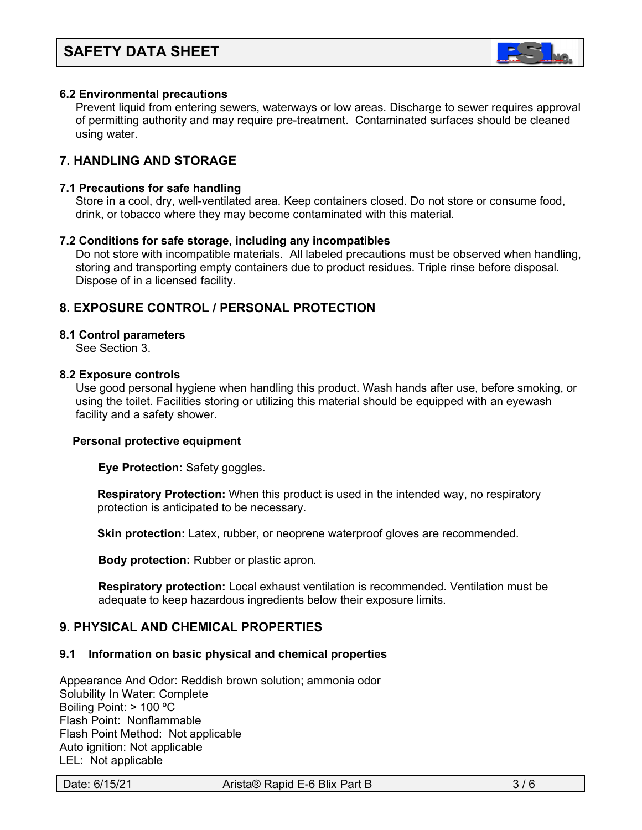

#### **6.2 Environmental precautions**

 Prevent liquid from entering sewers, waterways or low areas. Discharge to sewer requires approval of permitting authority and may require pre-treatment. Contaminated surfaces should be cleaned using water.

# **7. HANDLING AND STORAGE**

#### **7.1 Precautions for safe handling**

 Store in a cool, dry, well-ventilated area. Keep containers closed. Do not store or consume food, drink, or tobacco where they may become contaminated with this material.

#### **7.2 Conditions for safe storage, including any incompatibles**

Do not store with incompatible materials. All labeled precautions must be observed when handling, storing and transporting empty containers due to product residues. Triple rinse before disposal. Dispose of in a licensed facility.

# **8. EXPOSURE CONTROL / PERSONAL PROTECTION**

#### **8.1 Control parameters**

See Section 3.

#### **8.2 Exposure controls**

Use good personal hygiene when handling this product. Wash hands after use, before smoking, or using the toilet. Facilities storing or utilizing this material should be equipped with an eyewash facility and a safety shower.

#### **Personal protective equipment**

**Eye Protection:** Safety goggles.

**Respiratory Protection:** When this product is used in the intended way, no respiratory protection is anticipated to be necessary.

**Skin protection:** Latex, rubber, or neoprene waterproof gloves are recommended.

 **Body protection:** Rubber or plastic apron.

 **Respiratory protection:** Local exhaust ventilation is recommended. Ventilation must be adequate to keep hazardous ingredients below their exposure limits.

# **9. PHYSICAL AND CHEMICAL PROPERTIES**

#### **9.1 Information on basic physical and chemical properties**

Appearance And Odor: Reddish brown solution; ammonia odor Solubility In Water: Complete Boiling Point: > 100 ºC Flash Point: Nonflammable Flash Point Method: Not applicable Auto ignition: Not applicable LEL: Not applicable

Date: 6/15/21 Arista® Rapid E-6 Blix Part B 3/6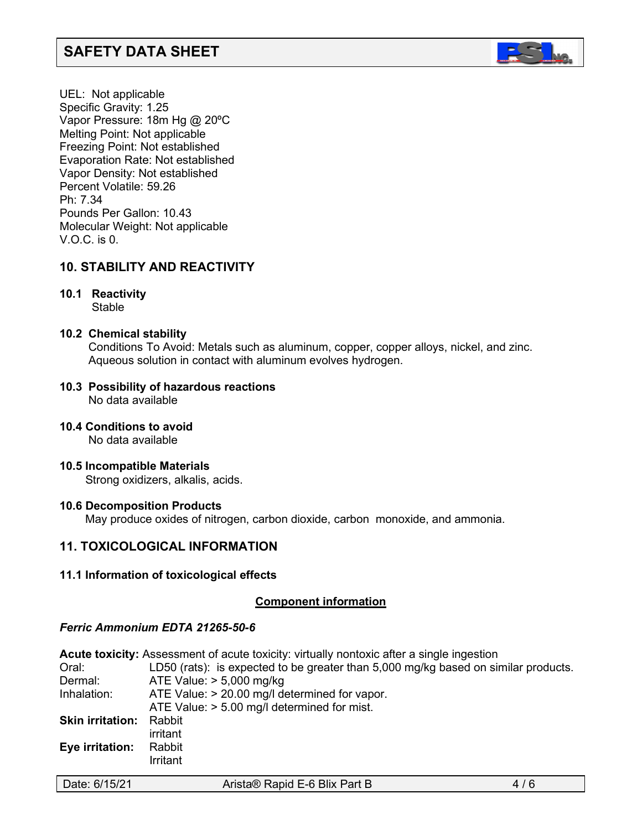

UEL: Not applicable Specific Gravity: 1.25 Vapor Pressure: 18m Hg @ 20ºC Melting Point: Not applicable Freezing Point: Not established Evaporation Rate: Not established Vapor Density: Not established Percent Volatile: 59.26 Ph: 7.34 Pounds Per Gallon: 10.43 Molecular Weight: Not applicable V.O.C. is 0.

# **10. STABILITY AND REACTIVITY**

# **10.1 Reactivity**

**Stable** 

# **10.2 Chemical stability**

Conditions To Avoid: Metals such as aluminum, copper, copper alloys, nickel, and zinc. Aqueous solution in contact with aluminum evolves hydrogen.

#### **10.3 Possibility of hazardous reactions** No data available

# **10.4 Conditions to avoid**

No data available

**10.5 Incompatible Materials**

Strong oxidizers, alkalis, acids.

# **10.6 Decomposition Products**

May produce oxides of nitrogen, carbon dioxide, carbon monoxide, and ammonia.

# **11. TOXICOLOGICAL INFORMATION**

# **11.1 Information of toxicological effects**

# <sup>U</sup>**Component information**

# *Ferric Ammonium EDTA 21265-50-6*

**Acute toxicity:** Assessment of acute toxicity: virtually nontoxic after a single ingestion Oral: LD50 (rats): is expected to be greater than 5,000 mg/kg based on similar products. Dermal: ATE Value: > 5,000 mg/kg Inhalation: ATE Value: > 20.00 mg/l determined for vapor. ATE Value: > 5.00 mg/l determined for mist. **Skin irritation:** Rabbit irritant **Eye irritation:** Rabbit Irritant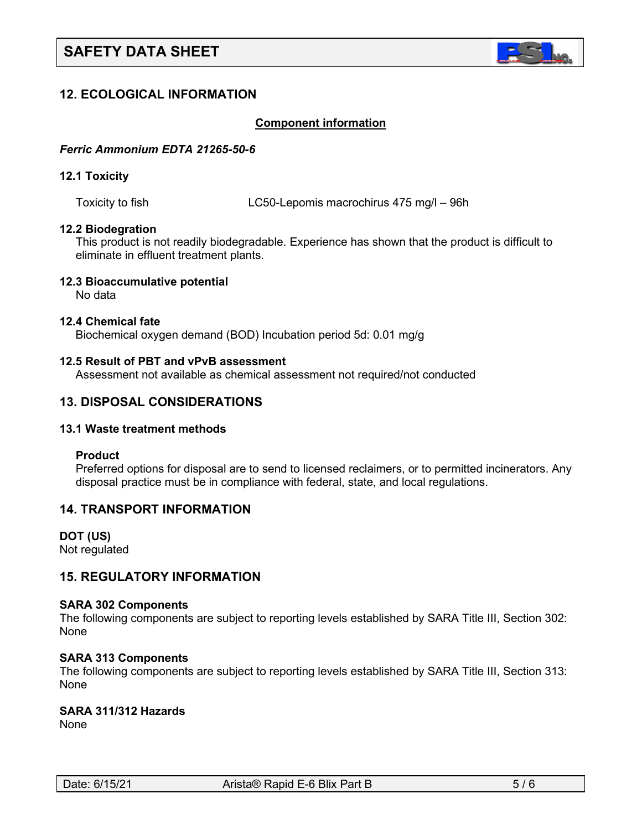

# **12. ECOLOGICAL INFORMATION**

#### <sup>U</sup>**Component information**

#### *Ferric Ammonium EDTA 21265-50-6*

#### **12.1 Toxicity**

Toxicity to fish LC50-Lepomis macrochirus 475 mg/l – 96h

#### **12.2 Biodegration**

This product is not readily biodegradable. Experience has shown that the product is difficult to eliminate in effluent treatment plants.

#### **12.3 Bioaccumulative potential**

No data

#### **12.4 Chemical fate**

Biochemical oxygen demand (BOD) Incubation period 5d: 0.01 mg/g

#### **12.5 Result of PBT and vPvB assessment**

Assessment not available as chemical assessment not required/not conducted

# **13. DISPOSAL CONSIDERATIONS**

#### **13.1 Waste treatment methods**

#### **Product**

Preferred options for disposal are to send to licensed reclaimers, or to permitted incinerators. Any disposal practice must be in compliance with federal, state, and local regulations.

# **14. TRANSPORT INFORMATION**

**DOT (US)** Not regulated

# **15. REGULATORY INFORMATION**

#### **SARA 302 Components**

The following components are subject to reporting levels established by SARA Title III, Section 302: **None** 

#### **SARA 313 Components**

The following components are subject to reporting levels established by SARA Title III, Section 313: None

# **SARA 311/312 Hazards**

None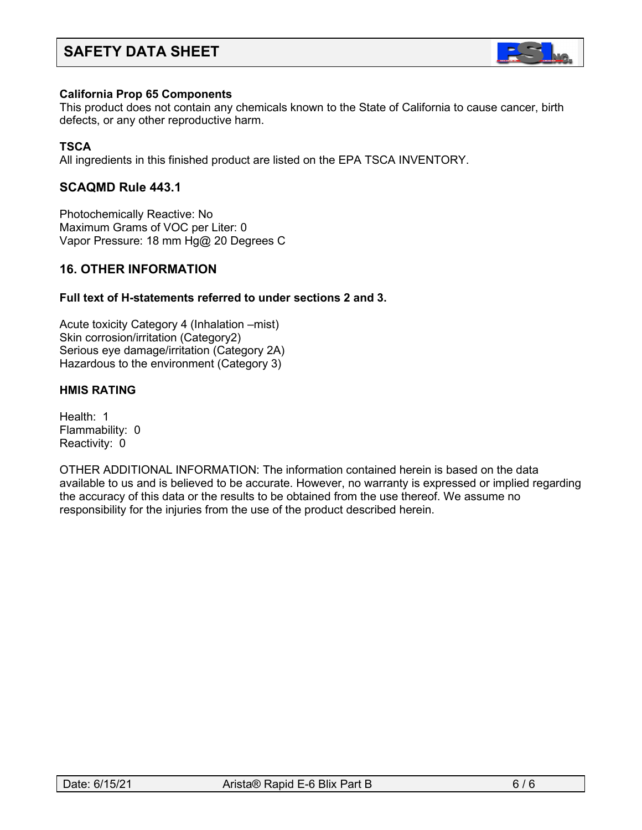

#### **California Prop 65 Components**

This product does not contain any chemicals known to the State of California to cause cancer, birth defects, or any other reproductive harm.

# **TSCA**

All ingredients in this finished product are listed on the EPA TSCA INVENTORY.

# **SCAQMD Rule 443.1**

Photochemically Reactive: No Maximum Grams of VOC per Liter: 0 Vapor Pressure: 18 mm Hg@ 20 Degrees C

# **16. OTHER INFORMATION**

#### **Full text of H-statements referred to under sections 2 and 3.**

Acute toxicity Category 4 (Inhalation –mist) Skin corrosion/irritation (Category2) Serious eye damage/irritation (Category 2A) Hazardous to the environment (Category 3)

#### **HMIS RATING**

Health: 1 Flammability: 0 Reactivity: 0

OTHER ADDITIONAL INFORMATION: The information contained herein is based on the data available to us and is believed to be accurate. However, no warranty is expressed or implied regarding the accuracy of this data or the results to be obtained from the use thereof. We assume no responsibility for the injuries from the use of the product described herein.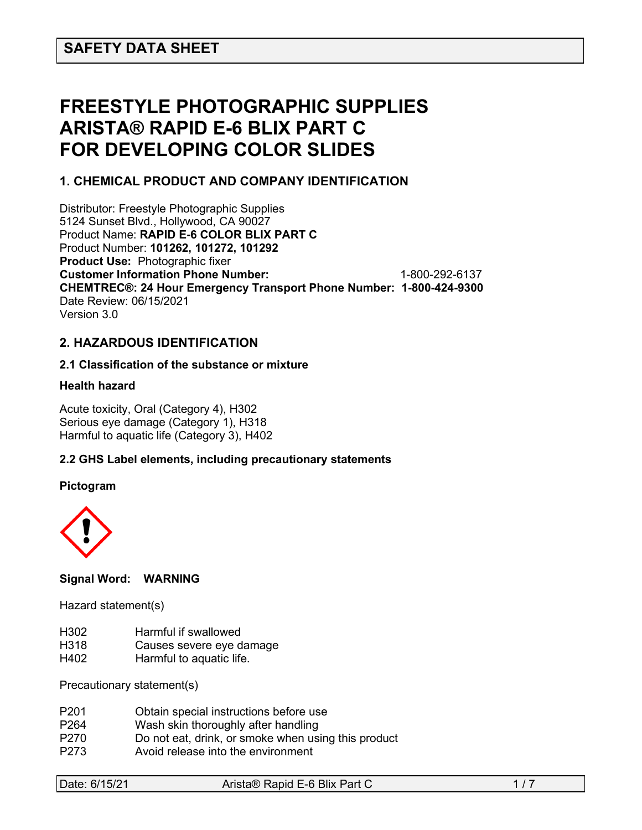# **FREESTYLE PHOTOGRAPHIC SUPPLIES ARISTA® RAPID E-6 BLIX PART C FOR DEVELOPING COLOR SLIDES**

# **1. CHEMICAL PRODUCT AND COMPANY IDENTIFICATION**

Distributor: Freestyle Photographic Supplies 5124 Sunset Blvd., Hollywood, CA 90027 Product Name: **RAPID E-6 COLOR BLIX PART C** Product Number: **101262, 101272, 101292 Product Use:** Photographic fixer **Customer Information Phone Number:** 1-800-292-6137 **CHEMTREC®: 24 Hour Emergency Transport Phone Number: 1-800-424-9300**  Date Review: 06/15/2021 Version 3.0

# **2. HAZARDOUS IDENTIFICATION**

# **2.1 Classification of the substance or mixture**

# **Health hazard**

Acute toxicity, Oral (Category 4), H302 Serious eye damage (Category 1), H318 Harmful to aquatic life (Category 3), H402

# **2.2 GHS Label elements, including precautionary statements**

#### **Pictogram**



# **Signal Word: WARNING**

Hazard statement(s)

- H302 Harmful if swallowed
- H318 Causes severe eye damage
- H402 Harmful to aquatic life.

Precautionary statement(s)

| P <sub>201</sub> | Obtain special instructions before use              |
|------------------|-----------------------------------------------------|
| P <sub>264</sub> | Wash skin thoroughly after handling                 |
| P <sub>270</sub> | Do not eat, drink, or smoke when using this product |
| P <sub>273</sub> | Avoid release into the environment                  |

| Date: 6/15/21 | Arista® Rapid E-6 Blix Part C |  |
|---------------|-------------------------------|--|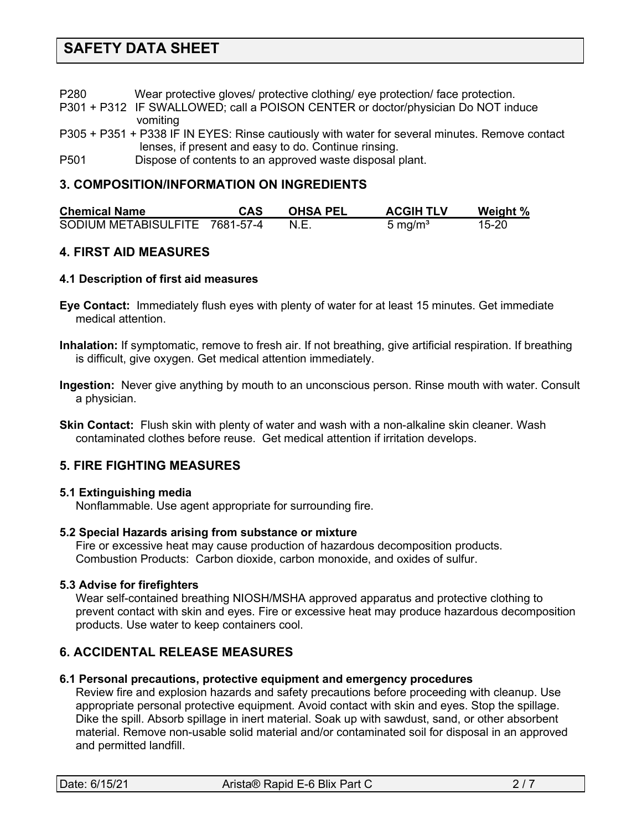P280 Wear protective gloves/ protective clothing/ eye protection/ face protection.

- P301 + P312 IF SWALLOWED; call a POISON CENTER or doctor/physician Do NOT induce vomiting
- P305 + P351 + P338 IF IN EYES: Rinse cautiously with water for several minutes. Remove contact lenses, if present and easy to do. Continue rinsing.
- P501 Dispose of contents to an approved waste disposal plant.

# **3. COMPOSITION/INFORMATION ON INGREDIENTS**

| <b>Chemical Name</b>           | <b>CAS</b> | <b>OHSA PEL</b> | <b>ACGIH TLV</b> | Weight % |
|--------------------------------|------------|-----------------|------------------|----------|
| SODIUM METABISULFITE 7681-57-4 |            | N.E.            | 5 mg/ $m3$       | 15-20    |

# **4. FIRST AID MEASURES**

# **4.1 Description of first aid measures**

- **Eye Contact:** Immediately flush eyes with plenty of water for at least 15 minutes. Get immediate medical attention.
- **Inhalation:** If symptomatic, remove to fresh air. If not breathing, give artificial respiration. If breathing is difficult, give oxygen. Get medical attention immediately.
- **Ingestion:** Never give anything by mouth to an unconscious person. Rinse mouth with water. Consult a physician.
- **Skin Contact:** Flush skin with plenty of water and wash with a non-alkaline skin cleaner. Wash contaminated clothes before reuse. Get medical attention if irritation develops.

# **5. FIRE FIGHTING MEASURES**

# **5.1 Extinguishing media**

Nonflammable. Use agent appropriate for surrounding fire.

# **5.2 Special Hazards arising from substance or mixture**

 Fire or excessive heat may cause production of hazardous decomposition products. Combustion Products: Carbon dioxide, carbon monoxide, and oxides of sulfur.

# **5.3 Advise for firefighters**

Wear self-contained breathing NIOSH/MSHA approved apparatus and protective clothing to prevent contact with skin and eyes. Fire or excessive heat may produce hazardous decomposition products. Use water to keep containers cool.

# **6. ACCIDENTAL RELEASE MEASURES**

# **6.1 Personal precautions, protective equipment and emergency procedures**

Review fire and explosion hazards and safety precautions before proceeding with cleanup. Use appropriate personal protective equipment. Avoid contact with skin and eyes. Stop the spillage. Dike the spill. Absorb spillage in inert material. Soak up with sawdust, sand, or other absorbent material. Remove non-usable solid material and/or contaminated soil for disposal in an approved and permitted landfill.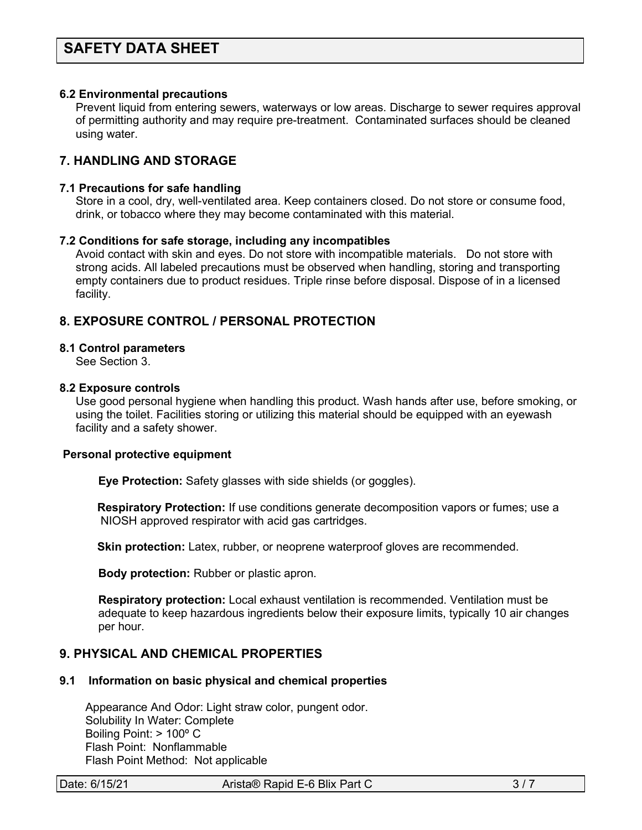#### **6.2 Environmental precautions**

 Prevent liquid from entering sewers, waterways or low areas. Discharge to sewer requires approval of permitting authority and may require pre-treatment. Contaminated surfaces should be cleaned using water.

# **7. HANDLING AND STORAGE**

#### **7.1 Precautions for safe handling**

 Store in a cool, dry, well-ventilated area. Keep containers closed. Do not store or consume food, drink, or tobacco where they may become contaminated with this material.

#### **7.2 Conditions for safe storage, including any incompatibles**

Avoid contact with skin and eyes. Do not store with incompatible materials. Do not store with strong acids. All labeled precautions must be observed when handling, storing and transporting empty containers due to product residues. Triple rinse before disposal. Dispose of in a licensed facility.

# **8. EXPOSURE CONTROL / PERSONAL PROTECTION**

#### **8.1 Control parameters**

See Section 3.

#### **8.2 Exposure controls**

Use good personal hygiene when handling this product. Wash hands after use, before smoking, or using the toilet. Facilities storing or utilizing this material should be equipped with an eyewash facility and a safety shower.

#### **Personal protective equipment**

**Eye Protection:** Safety glasses with side shields (or goggles).

**Respiratory Protection:** If use conditions generate decomposition vapors or fumes; use a NIOSH approved respirator with acid gas cartridges.

**Skin protection:** Latex, rubber, or neoprene waterproof gloves are recommended.

 **Body protection:** Rubber or plastic apron.

 **Respiratory protection:** Local exhaust ventilation is recommended. Ventilation must be adequate to keep hazardous ingredients below their exposure limits, typically 10 air changes per hour.

# **9. PHYSICAL AND CHEMICAL PROPERTIES**

#### **9.1 Information on basic physical and chemical properties**

Appearance And Odor: Light straw color, pungent odor. Solubility In Water: Complete Boiling Point: > 100º C Flash Point: Nonflammable Flash Point Method: Not applicable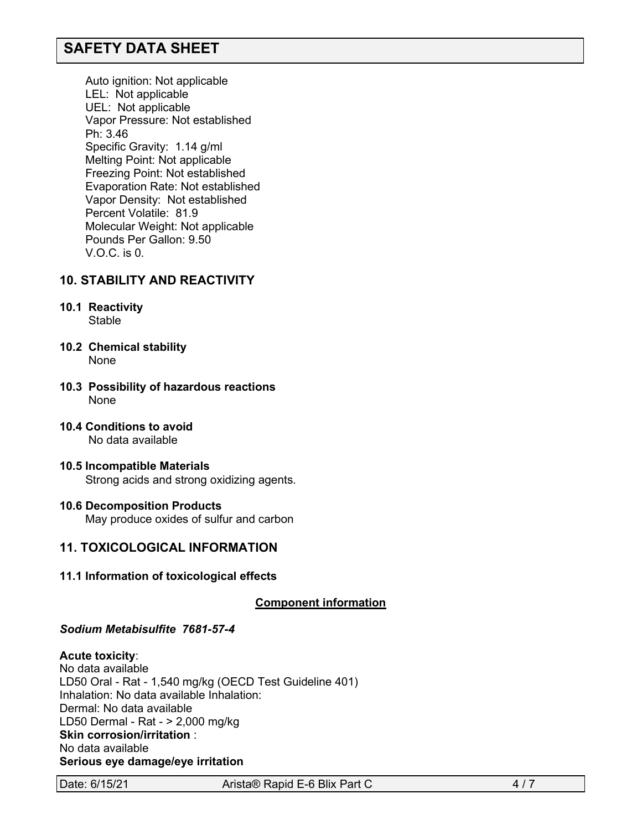Auto ignition: Not applicable LEL: Not applicable UEL: Not applicable Vapor Pressure: Not established Ph: 3.46 Specific Gravity: 1.14 g/ml Melting Point: Not applicable Freezing Point: Not established Evaporation Rate: Not established Vapor Density: Not established Percent Volatile: 81.9 Molecular Weight: Not applicable Pounds Per Gallon: 9.50 V.O.C. is 0.

# **10. STABILITY AND REACTIVITY**

- **10.1 Reactivity** Stable
- **10.2 Chemical stability** None
- **10.3 Possibility of hazardous reactions** None
- **10.4 Conditions to avoid** No data available
- **10.5 Incompatible Materials** Strong acids and strong oxidizing agents.
- **10.6 Decomposition Products** May produce oxides of sulfur and carbon

# **11. TOXICOLOGICAL INFORMATION**

**11.1 Information of toxicological effects**

**C**C**omponent information**

*Sodium Metabisulfite 7681-57-4*

#### **Acute toxicity**:

No data available LD50 Oral - Rat - 1,540 mg/kg (OECD Test Guideline 401) Inhalation: No data available Inhalation: Dermal: No data available LD50 Dermal - Rat - > 2,000 mg/kg **Skin corrosion/irritation** : No data available **Serious eye damage/eye irritation**

Date: 6/15/21 Arista® Rapid E-6 Blix Part C 4/7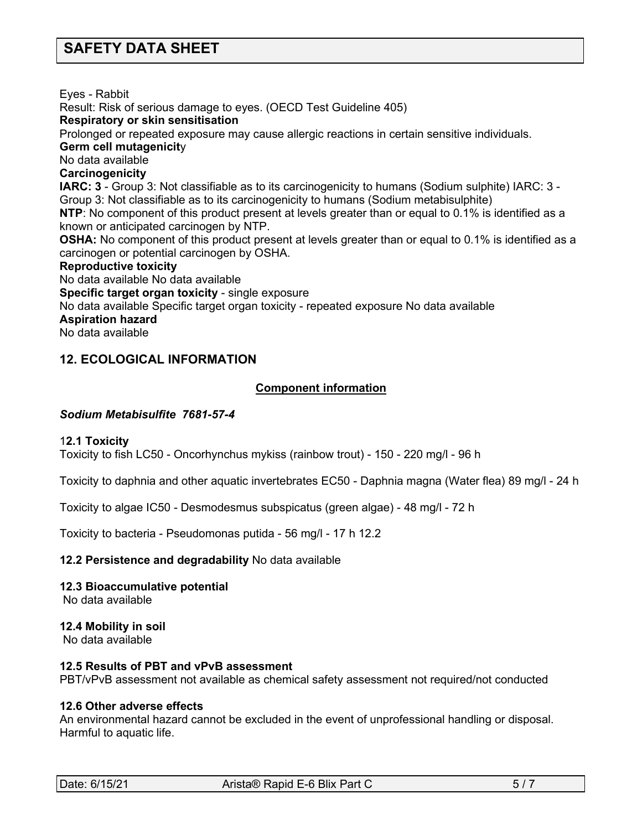Eyes - Rabbit

Result: Risk of serious damage to eyes. (OECD Test Guideline 405)

#### **Respiratory or skin sensitisation**

Prolonged or repeated exposure may cause allergic reactions in certain sensitive individuals.

#### **Germ cell mutagenicit**y

No data available

#### **Carcinogenicity**

**IARC: 3** - Group 3: Not classifiable as to its carcinogenicity to humans (Sodium sulphite) IARC: 3 - Group 3: Not classifiable as to its carcinogenicity to humans (Sodium metabisulphite)

**NTP**: No component of this product present at levels greater than or equal to 0.1% is identified as a known or anticipated carcinogen by NTP.

**OSHA:** No component of this product present at levels greater than or equal to 0.1% is identified as a carcinogen or potential carcinogen by OSHA.

#### **Reproductive toxicity**

No data available No data available

**Specific target organ toxicity** - single exposure

No data available Specific target organ toxicity - repeated exposure No data available

# **Aspiration hazard**

No data available

# **12. ECOLOGICAL INFORMATION**

# <sup>C</sup>**C**C**omponent information**

# *Sodium Metabisulfite 7681-57-4*

# 1**2.1 Toxicity**

Toxicity to fish LC50 - Oncorhynchus mykiss (rainbow trout) - 150 - 220 mg/l - 96 h

Toxicity to daphnia and other aquatic invertebrates EC50 - Daphnia magna (Water flea) 89 mg/l - 24 h

Toxicity to algae IC50 - Desmodesmus subspicatus (green algae) - 48 mg/l - 72 h

Toxicity to bacteria - Pseudomonas putida - 56 mg/l - 17 h 12.2

# **12.2 Persistence and degradability** No data available

# **12.3 Bioaccumulative potential**

No data available

#### **12.4 Mobility in soil** No data available

# **12.5 Results of PBT and vPvB assessment**

PBT/vPvB assessment not available as chemical safety assessment not required/not conducted

# **12.6 Other adverse effects**

An environmental hazard cannot be excluded in the event of unprofessional handling or disposal. Harmful to aquatic life.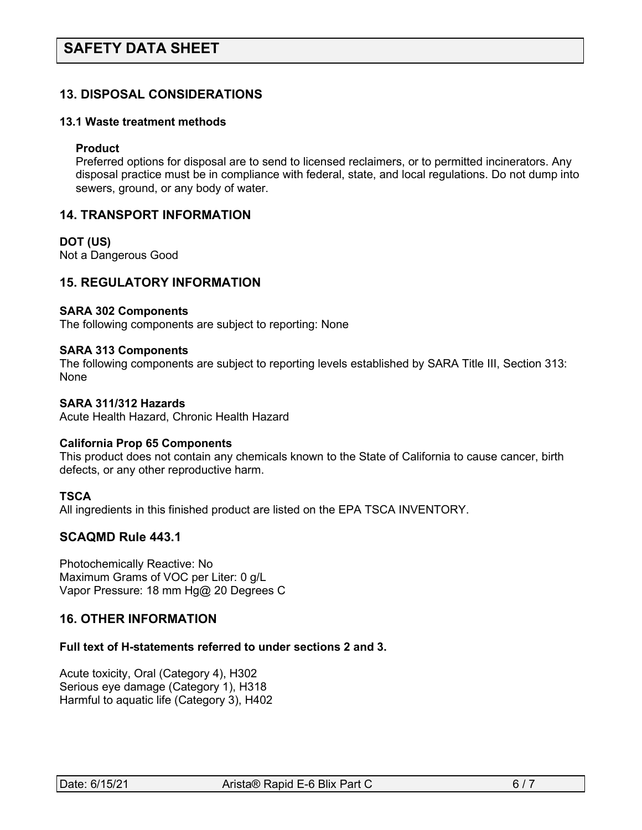# **13. DISPOSAL CONSIDERATIONS**

#### **13.1 Waste treatment methods**

#### **Product**

Preferred options for disposal are to send to licensed reclaimers, or to permitted incinerators. Any disposal practice must be in compliance with federal, state, and local regulations. Do not dump into sewers, ground, or any body of water.

# **14. TRANSPORT INFORMATION**

#### **DOT (US)**

Not a Dangerous Good

# **15. REGULATORY INFORMATION**

#### **SARA 302 Components**

The following components are subject to reporting: None

#### **SARA 313 Components**

The following components are subject to reporting levels established by SARA Title III, Section 313: None

### **SARA 311/312 Hazards**

Acute Health Hazard, Chronic Health Hazard

#### **California Prop 65 Components**

This product does not contain any chemicals known to the State of California to cause cancer, birth defects, or any other reproductive harm.

#### **TSCA**

All ingredients in this finished product are listed on the EPA TSCA INVENTORY.

# **SCAQMD Rule 443.1**

Photochemically Reactive: No Maximum Grams of VOC per Liter: 0 g/L Vapor Pressure: 18 mm Hg@ 20 Degrees C

# **16. OTHER INFORMATION**

#### **Full text of H-statements referred to under sections 2 and 3.**

Acute toxicity, Oral (Category 4), H302 Serious eye damage (Category 1), H318 Harmful to aquatic life (Category 3), H402